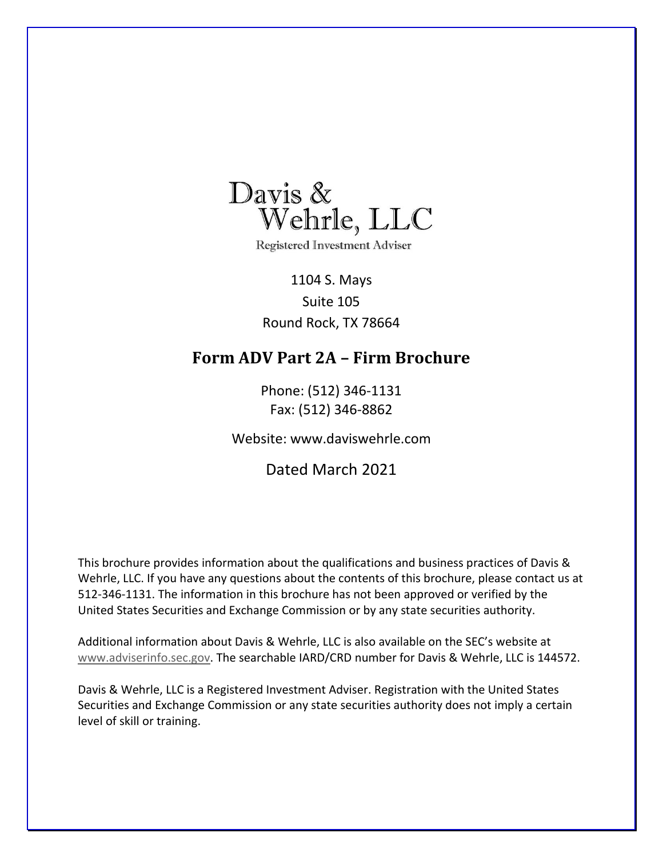<span id="page-0-0"></span>

**Registered Investment Adviser** 

1104 S. Mays Suite 105 Round Rock, TX 78664

## **Form ADV Part 2A – Firm Brochure**

Phone: (512) 346-1131 Fax: (512) 346-8862

Website: www.daviswehrle.com

Dated March 2021

This brochure provides information about the qualifications and business practices of Davis & Wehrle, LLC. If you have any questions about the contents of this brochure, please contact us at 512-346-1131. The information in this brochure has not been approved or verified by the United States Securities and Exchange Commission or by any state securities authority.

Additional information about Davis & Wehrle, LLC is also available on the SEC's website at [www.adviserinfo.sec.gov.](http://www.adviserinfo.sec.gov/) The searchable IARD/CRD number for Davis & Wehrle, LLC is 144572.

Davis & Wehrle, LLC is a Registered Investment Adviser. Registration with the United States Securities and Exchange Commission or any state securities authority does not imply a certain level of skill or training.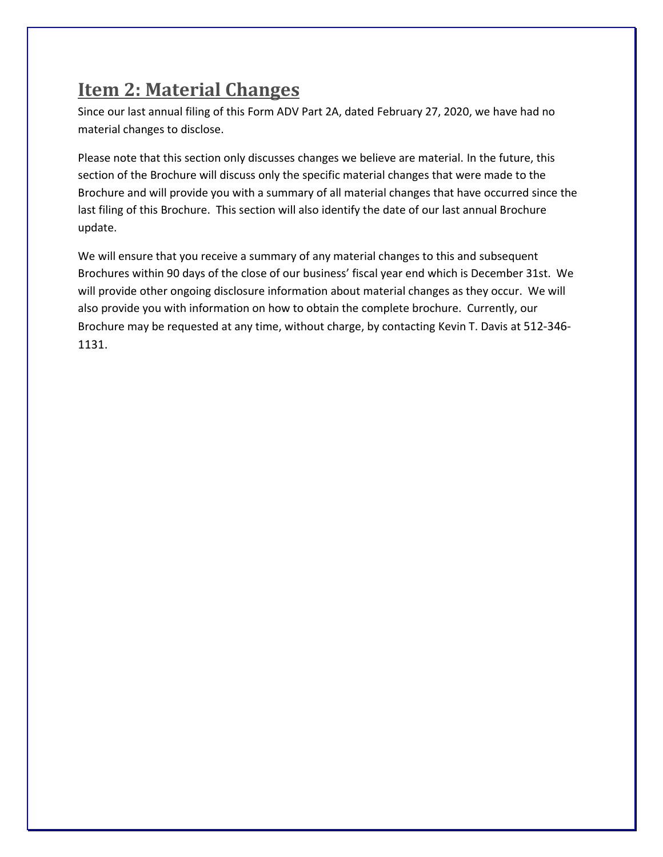## <span id="page-1-0"></span>**Item 2: Material Changes**

Since our last annual filing of this Form ADV Part 2A, dated February 27, 2020, we have had no material changes to disclose.

Please note that this section only discusses changes we believe are material. In the future, this section of the Brochure will discuss only the specific material changes that were made to the Brochure and will provide you with a summary of all material changes that have occurred since the last filing of this Brochure. This section will also identify the date of our last annual Brochure update.

We will ensure that you receive a summary of any material changes to this and subsequent Brochures within 90 days of the close of our business' fiscal year end which is December 31st. We will provide other ongoing disclosure information about material changes as they occur. We will also provide you with information on how to obtain the complete brochure. Currently, our Brochure may be requested at any time, without charge, by contacting Kevin T. Davis at 512-346- 1131.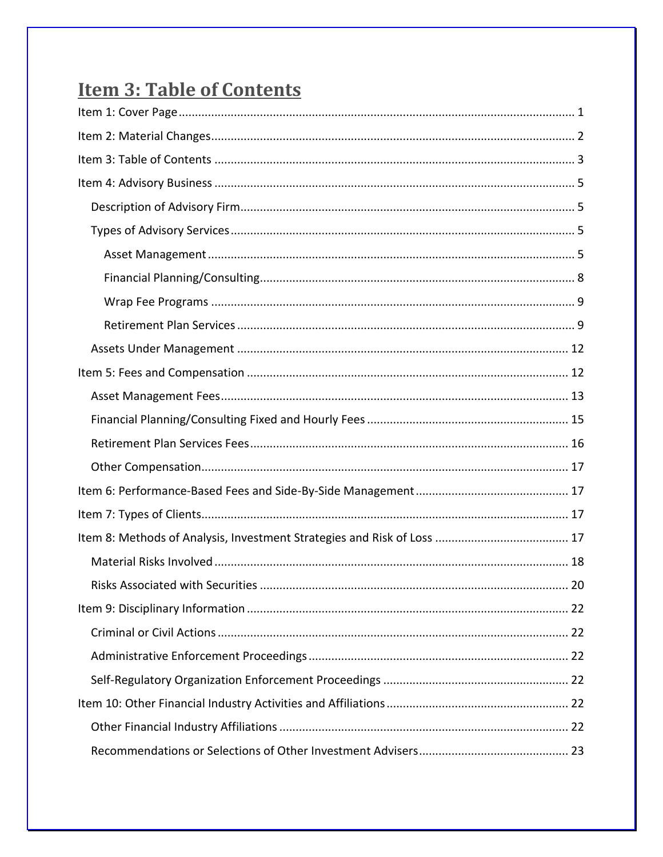# <span id="page-2-0"></span>**Item 3: Table of Contents**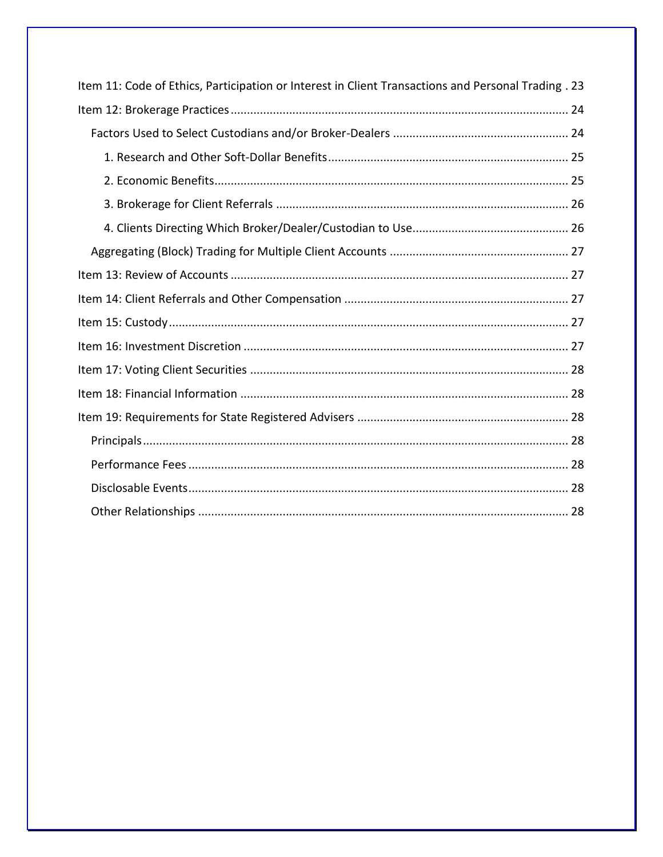| Item 11: Code of Ethics, Participation or Interest in Client Transactions and Personal Trading . 23 |  |  |
|-----------------------------------------------------------------------------------------------------|--|--|
|                                                                                                     |  |  |
|                                                                                                     |  |  |
|                                                                                                     |  |  |
|                                                                                                     |  |  |
|                                                                                                     |  |  |
|                                                                                                     |  |  |
|                                                                                                     |  |  |
|                                                                                                     |  |  |
|                                                                                                     |  |  |
|                                                                                                     |  |  |
|                                                                                                     |  |  |
|                                                                                                     |  |  |
|                                                                                                     |  |  |
|                                                                                                     |  |  |
|                                                                                                     |  |  |
|                                                                                                     |  |  |
|                                                                                                     |  |  |
|                                                                                                     |  |  |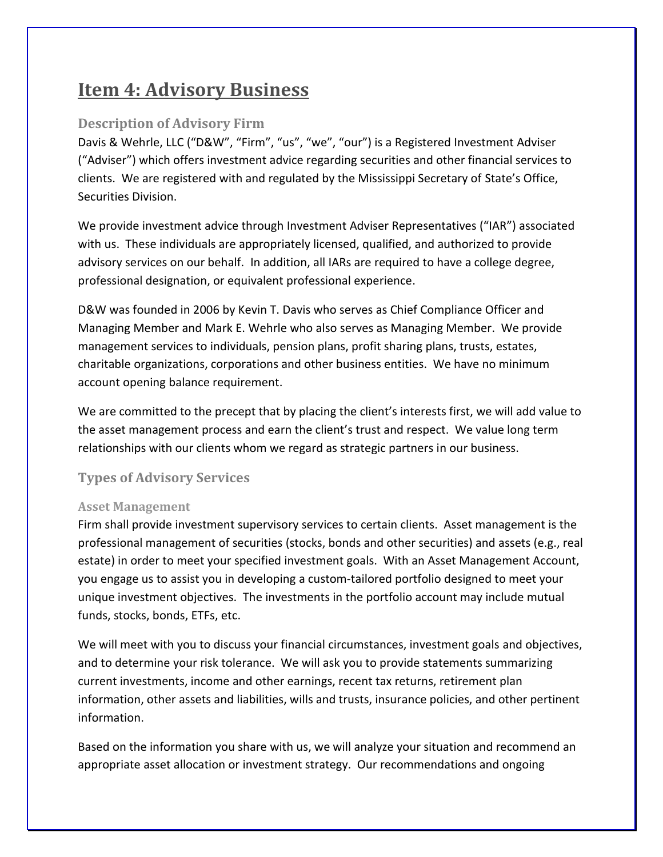## <span id="page-4-0"></span>**Item 4: Advisory Business**

### <span id="page-4-1"></span>**Description of Advisory Firm**

Davis & Wehrle, LLC ("D&W", "Firm", "us", "we", "our") is a Registered Investment Adviser ("Adviser") which offers investment advice regarding securities and other financial services to clients. We are registered with and regulated by the Mississippi Secretary of State's Office, Securities Division.

We provide investment advice through Investment Adviser Representatives ("IAR") associated with us. These individuals are appropriately licensed, qualified, and authorized to provide advisory services on our behalf. In addition, all IARs are required to have a college degree, professional designation, or equivalent professional experience.

D&W was founded in 2006 by Kevin T. Davis who serves as Chief Compliance Officer and Managing Member and Mark E. Wehrle who also serves as Managing Member. We provide management services to individuals, pension plans, profit sharing plans, trusts, estates, charitable organizations, corporations and other business entities. We have no minimum account opening balance requirement.

We are committed to the precept that by placing the client's interests first, we will add value to the asset management process and earn the client's trust and respect. We value long term relationships with our clients whom we regard as strategic partners in our business.

### <span id="page-4-2"></span>**Types of Advisory Services**

### <span id="page-4-3"></span>**Asset Management**

Firm shall provide investment supervisory services to certain clients. Asset management is the professional management of securities (stocks, bonds and other securities) and assets (e.g., real estate) in order to meet your specified investment goals. With an Asset Management Account, you engage us to assist you in developing a custom-tailored portfolio designed to meet your unique investment objectives. The investments in the portfolio account may include mutual funds, stocks, bonds, ETFs, etc.

We will meet with you to discuss your financial circumstances, investment goals and objectives, and to determine your risk tolerance. We will ask you to provide statements summarizing current investments, income and other earnings, recent tax returns, retirement plan information, other assets and liabilities, wills and trusts, insurance policies, and other pertinent information.

Based on the information you share with us, we will analyze your situation and recommend an appropriate asset allocation or investment strategy. Our recommendations and ongoing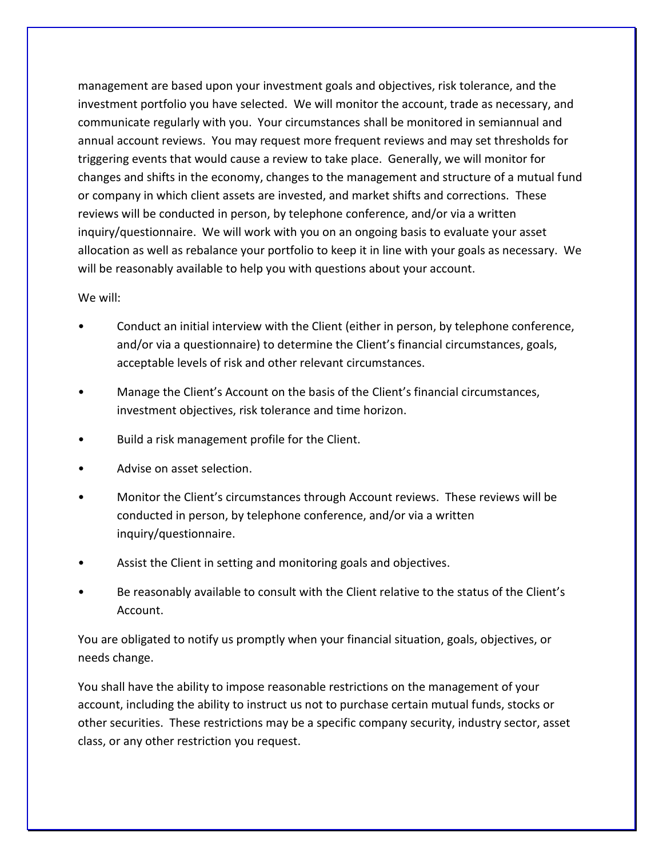management are based upon your investment goals and objectives, risk tolerance, and the investment portfolio you have selected. We will monitor the account, trade as necessary, and communicate regularly with you. Your circumstances shall be monitored in semiannual and annual account reviews. You may request more frequent reviews and may set thresholds for triggering events that would cause a review to take place. Generally, we will monitor for changes and shifts in the economy, changes to the management and structure of a mutual fund or company in which client assets are invested, and market shifts and corrections. These reviews will be conducted in person, by telephone conference, and/or via a written inquiry/questionnaire. We will work with you on an ongoing basis to evaluate your asset allocation as well as rebalance your portfolio to keep it in line with your goals as necessary. We will be reasonably available to help you with questions about your account.

#### We will:

- Conduct an initial interview with the Client (either in person, by telephone conference, and/or via a questionnaire) to determine the Client's financial circumstances, goals, acceptable levels of risk and other relevant circumstances.
- Manage the Client's Account on the basis of the Client's financial circumstances, investment objectives, risk tolerance and time horizon.
- Build a risk management profile for the Client.
- Advise on asset selection.
- Monitor the Client's circumstances through Account reviews. These reviews will be conducted in person, by telephone conference, and/or via a written inquiry/questionnaire.
- Assist the Client in setting and monitoring goals and objectives.
- Be reasonably available to consult with the Client relative to the status of the Client's Account.

You are obligated to notify us promptly when your financial situation, goals, objectives, or needs change.

You shall have the ability to impose reasonable restrictions on the management of your account, including the ability to instruct us not to purchase certain mutual funds, stocks or other securities. These restrictions may be a specific company security, industry sector, asset class, or any other restriction you request.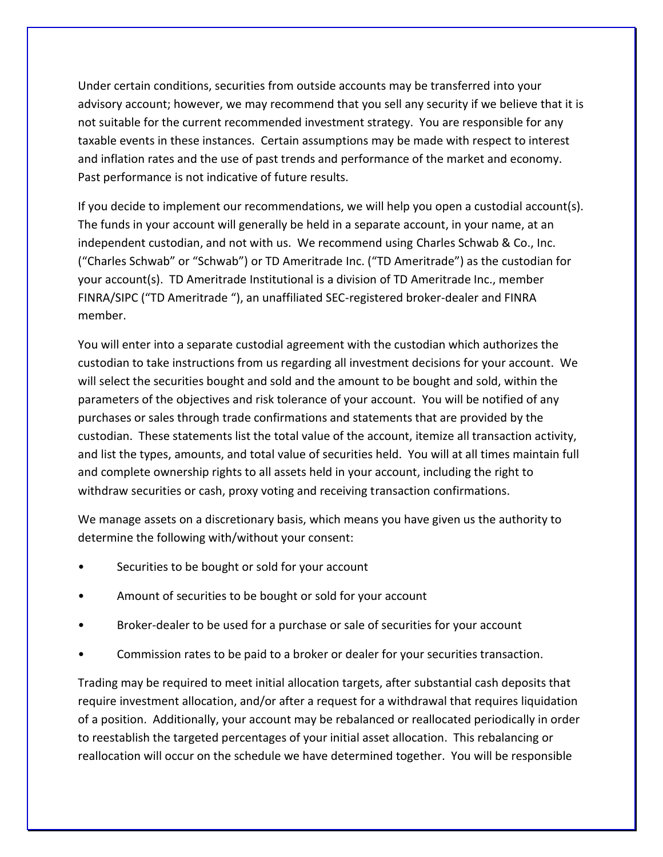Under certain conditions, securities from outside accounts may be transferred into your advisory account; however, we may recommend that you sell any security if we believe that it is not suitable for the current recommended investment strategy. You are responsible for any taxable events in these instances. Certain assumptions may be made with respect to interest and inflation rates and the use of past trends and performance of the market and economy. Past performance is not indicative of future results.

If you decide to implement our recommendations, we will help you open a custodial account(s). The funds in your account will generally be held in a separate account, in your name, at an independent custodian, and not with us. We recommend using Charles Schwab & Co., Inc. ("Charles Schwab" or "Schwab") or TD Ameritrade Inc. ("TD Ameritrade") as the custodian for your account(s). TD Ameritrade Institutional is a division of TD Ameritrade Inc., member FINRA/SIPC ("TD Ameritrade "), an unaffiliated SEC-registered broker-dealer and FINRA member.

You will enter into a separate custodial agreement with the custodian which authorizes the custodian to take instructions from us regarding all investment decisions for your account. We will select the securities bought and sold and the amount to be bought and sold, within the parameters of the objectives and risk tolerance of your account. You will be notified of any purchases or sales through trade confirmations and statements that are provided by the custodian. These statements list the total value of the account, itemize all transaction activity, and list the types, amounts, and total value of securities held. You will at all times maintain full and complete ownership rights to all assets held in your account, including the right to withdraw securities or cash, proxy voting and receiving transaction confirmations.

We manage assets on a discretionary basis, which means you have given us the authority to determine the following with/without your consent:

- Securities to be bought or sold for your account
- Amount of securities to be bought or sold for your account
- Broker-dealer to be used for a purchase or sale of securities for your account
- Commission rates to be paid to a broker or dealer for your securities transaction.

Trading may be required to meet initial allocation targets, after substantial cash deposits that require investment allocation, and/or after a request for a withdrawal that requires liquidation of a position. Additionally, your account may be rebalanced or reallocated periodically in order to reestablish the targeted percentages of your initial asset allocation. This rebalancing or reallocation will occur on the schedule we have determined together. You will be responsible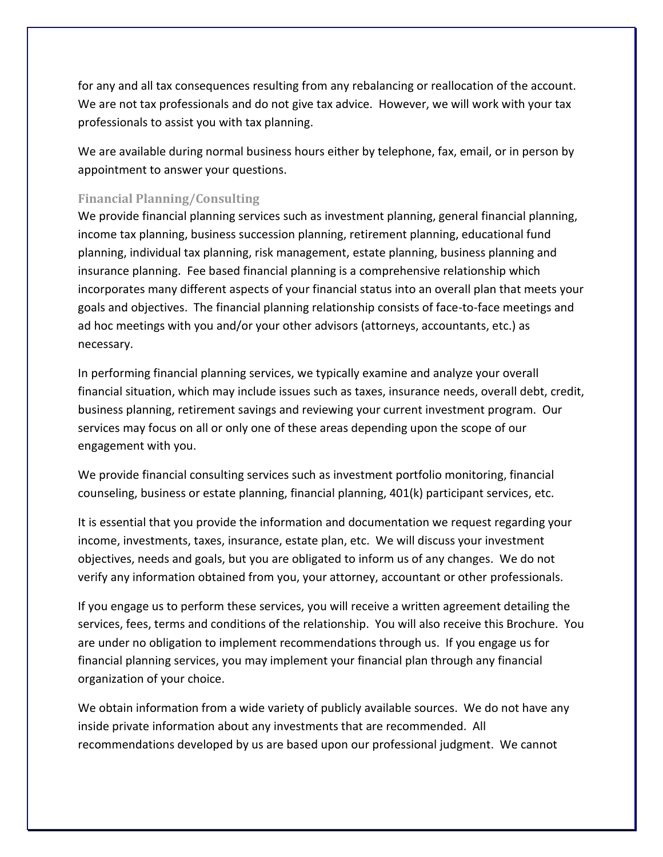for any and all tax consequences resulting from any rebalancing or reallocation of the account. We are not tax professionals and do not give tax advice. However, we will work with your tax professionals to assist you with tax planning.

We are available during normal business hours either by telephone, fax, email, or in person by appointment to answer your questions.

### <span id="page-7-0"></span>**Financial Planning/Consulting**

We provide financial planning services such as investment planning, general financial planning, income tax planning, business succession planning, retirement planning, educational fund planning, individual tax planning, risk management, estate planning, business planning and insurance planning. Fee based financial planning is a comprehensive relationship which incorporates many different aspects of your financial status into an overall plan that meets your goals and objectives. The financial planning relationship consists of face-to-face meetings and ad hoc meetings with you and/or your other advisors (attorneys, accountants, etc.) as necessary.

In performing financial planning services, we typically examine and analyze your overall financial situation, which may include issues such as taxes, insurance needs, overall debt, credit, business planning, retirement savings and reviewing your current investment program. Our services may focus on all or only one of these areas depending upon the scope of our engagement with you.

We provide financial consulting services such as investment portfolio monitoring, financial counseling, business or estate planning, financial planning, 401(k) participant services, etc.

It is essential that you provide the information and documentation we request regarding your income, investments, taxes, insurance, estate plan, etc. We will discuss your investment objectives, needs and goals, but you are obligated to inform us of any changes. We do not verify any information obtained from you, your attorney, accountant or other professionals.

If you engage us to perform these services, you will receive a written agreement detailing the services, fees, terms and conditions of the relationship. You will also receive this Brochure. You are under no obligation to implement recommendations through us. If you engage us for financial planning services, you may implement your financial plan through any financial organization of your choice.

We obtain information from a wide variety of publicly available sources. We do not have any inside private information about any investments that are recommended. All recommendations developed by us are based upon our professional judgment. We cannot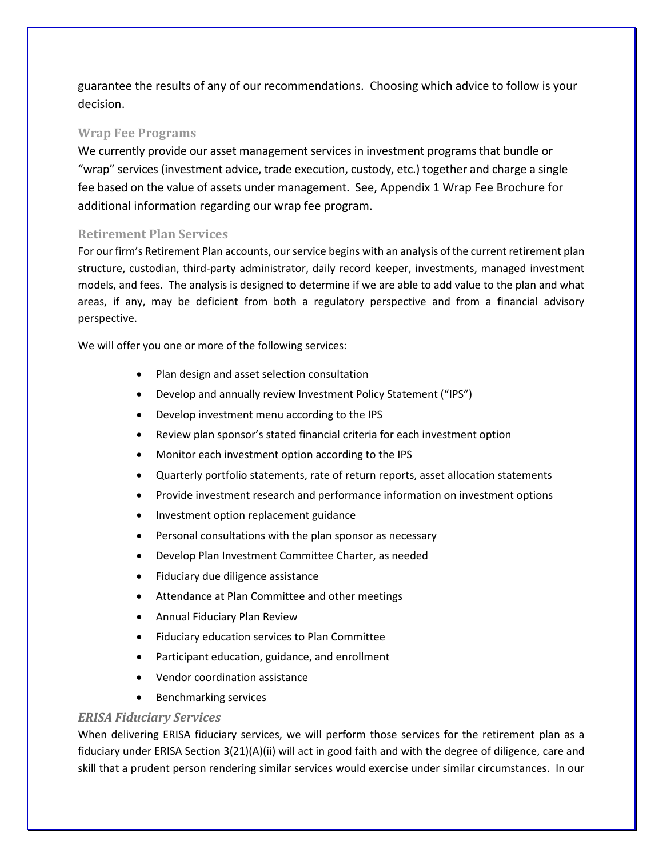guarantee the results of any of our recommendations. Choosing which advice to follow is your decision.

#### <span id="page-8-0"></span>**Wrap Fee Programs**

We currently provide our asset management services in investment programs that bundle or "wrap" services (investment advice, trade execution, custody, etc.) together and charge a single fee based on the value of assets under management. See, Appendix 1 Wrap Fee Brochure for additional information regarding our wrap fee program.

#### <span id="page-8-1"></span>**Retirement Plan Services**

For our firm's Retirement Plan accounts, our service begins with an analysis of the current retirement plan structure, custodian, third-party administrator, daily record keeper, investments, managed investment models, and fees. The analysis is designed to determine if we are able to add value to the plan and what areas, if any, may be deficient from both a regulatory perspective and from a financial advisory perspective.

We will offer you one or more of the following services:

- Plan design and asset selection consultation
- Develop and annually review Investment Policy Statement ("IPS")
- Develop investment menu according to the IPS
- Review plan sponsor's stated financial criteria for each investment option
- Monitor each investment option according to the IPS
- Quarterly portfolio statements, rate of return reports, asset allocation statements
- Provide investment research and performance information on investment options
- Investment option replacement guidance
- Personal consultations with the plan sponsor as necessary
- Develop Plan Investment Committee Charter, as needed
- Fiduciary due diligence assistance
- Attendance at Plan Committee and other meetings
- Annual Fiduciary Plan Review
- Fiduciary education services to Plan Committee
- Participant education, guidance, and enrollment
- Vendor coordination assistance
- Benchmarking services

#### *ERISA Fiduciary Services*

When delivering ERISA fiduciary services, we will perform those services for the retirement plan as a fiduciary under ERISA Section 3(21)(A)(ii) will act in good faith and with the degree of diligence, care and skill that a prudent person rendering similar services would exercise under similar circumstances. In our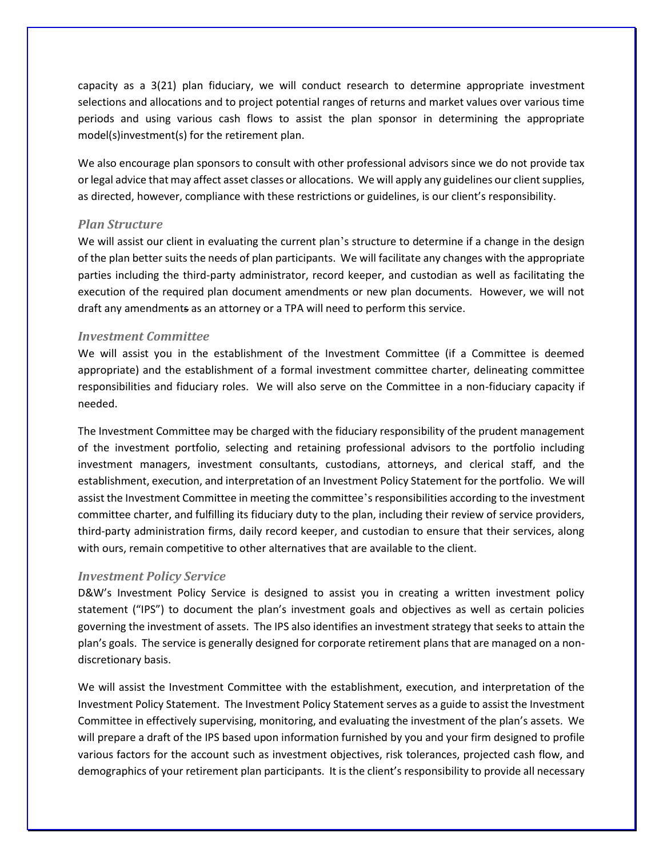capacity as a 3(21) plan fiduciary, we will conduct research to determine appropriate investment selections and allocations and to project potential ranges of returns and market values over various time periods and using various cash flows to assist the plan sponsor in determining the appropriate model(s)investment(s) for the retirement plan.

We also encourage plan sponsors to consult with other professional advisors since we do not provide tax or legal advice that may affect asset classes or allocations. We will apply any guidelines our client supplies, as directed, however, compliance with these restrictions or guidelines, is our client's responsibility.

#### *Plan Structure*

We will assist our client in evaluating the current plan's structure to determine if a change in the design of the plan better suits the needs of plan participants. We will facilitate any changes with the appropriate parties including the third-party administrator, record keeper, and custodian as well as facilitating the execution of the required plan document amendments or new plan documents. However, we will not draft any amendments as an attorney or a TPA will need to perform this service.

#### *Investment Committee*

We will assist you in the establishment of the Investment Committee (if a Committee is deemed appropriate) and the establishment of a formal investment committee charter, delineating committee responsibilities and fiduciary roles. We will also serve on the Committee in a non-fiduciary capacity if needed.

The Investment Committee may be charged with the fiduciary responsibility of the prudent management of the investment portfolio, selecting and retaining professional advisors to the portfolio including investment managers, investment consultants, custodians, attorneys, and clerical staff, and the establishment, execution, and interpretation of an Investment Policy Statement for the portfolio. We will assist the Investment Committee in meeting the committee's responsibilities according to the investment committee charter, and fulfilling its fiduciary duty to the plan, including their review of service providers, third-party administration firms, daily record keeper, and custodian to ensure that their services, along with ours, remain competitive to other alternatives that are available to the client.

#### *Investment Policy Service*

D&W's Investment Policy Service is designed to assist you in creating a written investment policy statement ("IPS") to document the plan's investment goals and objectives as well as certain policies governing the investment of assets. The IPS also identifies an investment strategy that seeks to attain the plan's goals. The service is generally designed for corporate retirement plans that are managed on a nondiscretionary basis.

We will assist the Investment Committee with the establishment, execution, and interpretation of the Investment Policy Statement. The Investment Policy Statement serves as a guide to assist the Investment Committee in effectively supervising, monitoring, and evaluating the investment of the plan's assets. We will prepare a draft of the IPS based upon information furnished by you and your firm designed to profile various factors for the account such as investment objectives, risk tolerances, projected cash flow, and demographics of your retirement plan participants. It is the client's responsibility to provide all necessary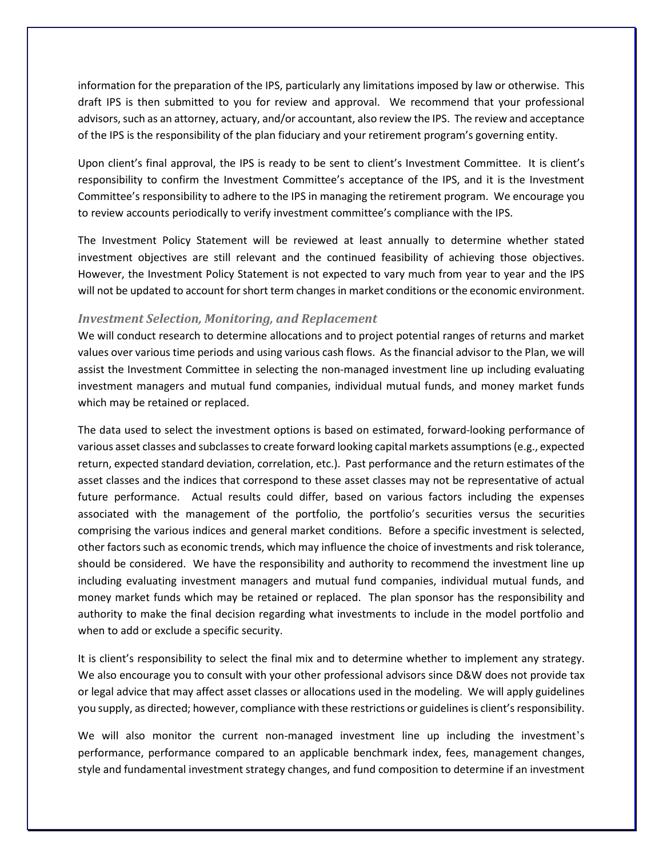information for the preparation of the IPS, particularly any limitations imposed by law or otherwise. This draft IPS is then submitted to you for review and approval. We recommend that your professional advisors, such as an attorney, actuary, and/or accountant, also review the IPS. The review and acceptance of the IPS is the responsibility of the plan fiduciary and your retirement program's governing entity.

Upon client's final approval, the IPS is ready to be sent to client's Investment Committee. It is client's responsibility to confirm the Investment Committee's acceptance of the IPS, and it is the Investment Committee's responsibility to adhere to the IPS in managing the retirement program. We encourage you to review accounts periodically to verify investment committee's compliance with the IPS.

The Investment Policy Statement will be reviewed at least annually to determine whether stated investment objectives are still relevant and the continued feasibility of achieving those objectives. However, the Investment Policy Statement is not expected to vary much from year to year and the IPS will not be updated to account for short term changes in market conditions or the economic environment.

#### *Investment Selection, Monitoring, and Replacement*

We will conduct research to determine allocations and to project potential ranges of returns and market values over various time periods and using various cash flows. As the financial advisor to the Plan, we will assist the Investment Committee in selecting the non-managed investment line up including evaluating investment managers and mutual fund companies, individual mutual funds, and money market funds which may be retained or replaced.

The data used to select the investment options is based on estimated, forward-looking performance of various asset classes and subclasses to create forward looking capital markets assumptions (e.g., expected return, expected standard deviation, correlation, etc.). Past performance and the return estimates of the asset classes and the indices that correspond to these asset classes may not be representative of actual future performance. Actual results could differ, based on various factors including the expenses associated with the management of the portfolio, the portfolio's securities versus the securities comprising the various indices and general market conditions. Before a specific investment is selected, other factors such as economic trends, which may influence the choice of investments and risk tolerance, should be considered. We have the responsibility and authority to recommend the investment line up including evaluating investment managers and mutual fund companies, individual mutual funds, and money market funds which may be retained or replaced. The plan sponsor has the responsibility and authority to make the final decision regarding what investments to include in the model portfolio and when to add or exclude a specific security.

It is client's responsibility to select the final mix and to determine whether to implement any strategy. We also encourage you to consult with your other professional advisors since D&W does not provide tax or legal advice that may affect asset classes or allocations used in the modeling. We will apply guidelines you supply, as directed; however, compliance with these restrictions or guidelines is client's responsibility.

We will also monitor the current non-managed investment line up including the investment's performance, performance compared to an applicable benchmark index, fees, management changes, style and fundamental investment strategy changes, and fund composition to determine if an investment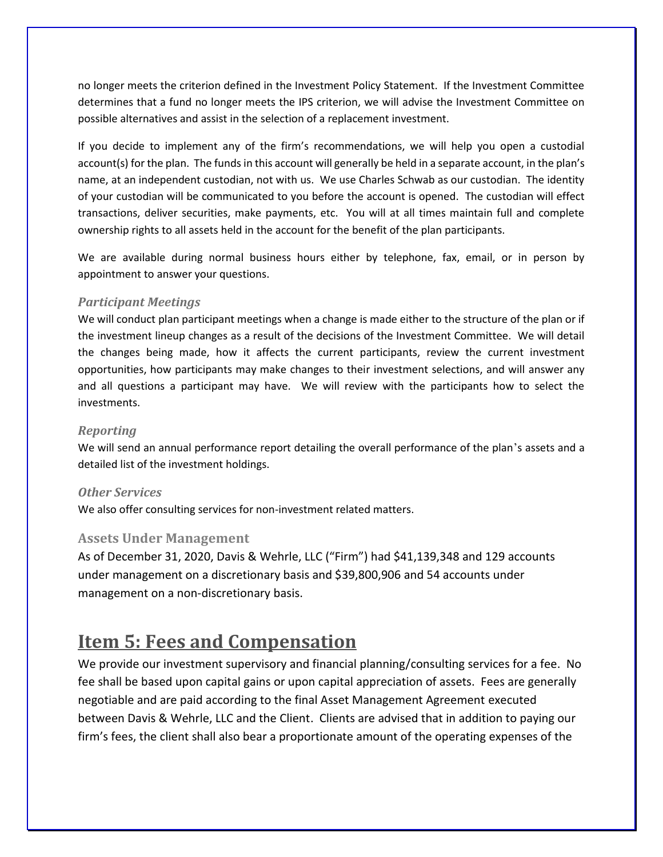no longer meets the criterion defined in the Investment Policy Statement. If the Investment Committee determines that a fund no longer meets the IPS criterion, we will advise the Investment Committee on possible alternatives and assist in the selection of a replacement investment.

If you decide to implement any of the firm's recommendations, we will help you open a custodial account(s) for the plan. The funds in this account will generally be held in a separate account, in the plan's name, at an independent custodian, not with us. We use Charles Schwab as our custodian. The identity of your custodian will be communicated to you before the account is opened. The custodian will effect transactions, deliver securities, make payments, etc. You will at all times maintain full and complete ownership rights to all assets held in the account for the benefit of the plan participants.

We are available during normal business hours either by telephone, fax, email, or in person by appointment to answer your questions.

#### *Participant Meetings*

We will conduct plan participant meetings when a change is made either to the structure of the plan or if the investment lineup changes as a result of the decisions of the Investment Committee. We will detail the changes being made, how it affects the current participants, review the current investment opportunities, how participants may make changes to their investment selections, and will answer any and all questions a participant may have. We will review with the participants how to select the investments.

#### *Reporting*

We will send an annual performance report detailing the overall performance of the plan's assets and a detailed list of the investment holdings.

#### *Other Services*

We also offer consulting services for non-investment related matters.

#### <span id="page-11-0"></span>**Assets Under Management**

As of December 31, 2020, Davis & Wehrle, LLC ("Firm") had \$41,139,348 and 129 accounts under management on a discretionary basis and \$39,800,906 and 54 accounts under management on a non-discretionary basis.

## <span id="page-11-1"></span>**Item 5: Fees and Compensation**

We provide our investment supervisory and financial planning/consulting services for a fee. No fee shall be based upon capital gains or upon capital appreciation of assets. Fees are generally negotiable and are paid according to the final Asset Management Agreement executed between Davis & Wehrle, LLC and the Client. Clients are advised that in addition to paying our firm's fees, the client shall also bear a proportionate amount of the operating expenses of the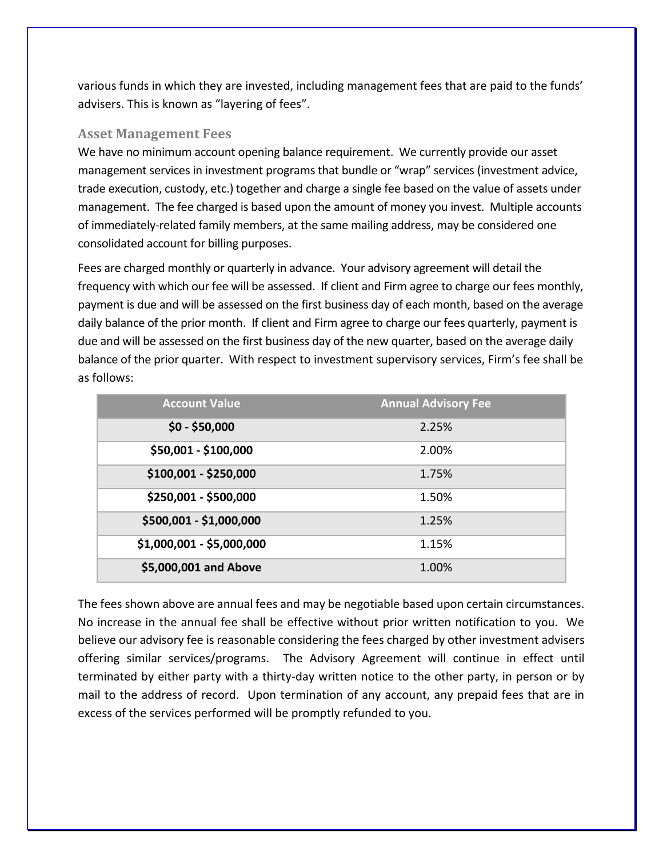various funds in which they are invested, including management fees that are paid to the funds' advisers. This is known as "layering of fees".

### <span id="page-12-0"></span>**Asset Management Fees**

We have no minimum account opening balance requirement. We currently provide our asset management services in investment programs that bundle or "wrap" services (investment advice, trade execution, custody, etc.) together and charge a single fee based on the value of assets under management. The fee charged is based upon the amount of money you invest. Multiple accounts of immediately-related family members, at the same mailing address, may be considered one consolidated account for billing purposes.

Fees are charged monthly or quarterly in advance. Your advisory agreement will detail the frequency with which our fee will be assessed. If client and Firm agree to charge our fees monthly, payment is due and will be assessed on the first business day of each month, based on the average daily balance of the prior month. If client and Firm agree to charge our fees quarterly, payment is due and will be assessed on the first business day of the new quarter, based on the average daily balance of the prior quarter. With respect to investment supervisory services, Firm's fee shall be as follows:

| <b>Account Value</b>      | <b>Annual Advisory Fee</b> |
|---------------------------|----------------------------|
| $$0 - $50,000$            | 2.25%                      |
| \$50,001 - \$100,000      | 2.00%                      |
| \$100,001 - \$250,000     | 1.75%                      |
| \$250,001 - \$500,000     | 1.50%                      |
| \$500,001 - \$1,000,000   | 1.25%                      |
| \$1,000,001 - \$5,000,000 | 1.15%                      |
| \$5,000,001 and Above     | 1.00%                      |

The fees shown above are annual fees and may be negotiable based upon certain circumstances. No increase in the annual fee shall be effective without prior written notification to you. We believe our advisory fee is reasonable considering the fees charged by other investment advisers offering similar services/programs. The Advisory Agreement will continue in effect until terminated by either party with a thirty-day written notice to the other party, in person or by mail to the address of record. Upon termination of any account, any prepaid fees that are in excess of the services performed will be promptly refunded to you.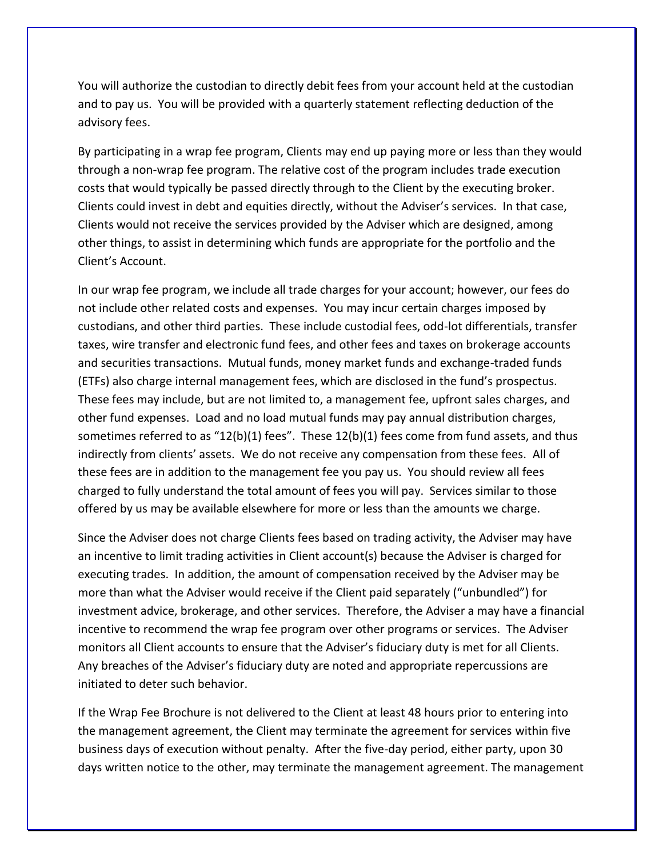You will authorize the custodian to directly debit fees from your account held at the custodian and to pay us. You will be provided with a quarterly statement reflecting deduction of the advisory fees.

By participating in a wrap fee program, Clients may end up paying more or less than they would through a non-wrap fee program. The relative cost of the program includes trade execution costs that would typically be passed directly through to the Client by the executing broker. Clients could invest in debt and equities directly, without the Adviser's services. In that case, Clients would not receive the services provided by the Adviser which are designed, among other things, to assist in determining which funds are appropriate for the portfolio and the Client's Account.

In our wrap fee program, we include all trade charges for your account; however, our fees do not include other related costs and expenses. You may incur certain charges imposed by custodians, and other third parties. These include custodial fees, odd-lot differentials, transfer taxes, wire transfer and electronic fund fees, and other fees and taxes on brokerage accounts and securities transactions. Mutual funds, money market funds and exchange-traded funds (ETFs) also charge internal management fees, which are disclosed in the fund's prospectus. These fees may include, but are not limited to, a management fee, upfront sales charges, and other fund expenses. Load and no load mutual funds may pay annual distribution charges, sometimes referred to as "12(b)(1) fees". These 12(b)(1) fees come from fund assets, and thus indirectly from clients' assets. We do not receive any compensation from these fees. All of these fees are in addition to the management fee you pay us. You should review all fees charged to fully understand the total amount of fees you will pay. Services similar to those offered by us may be available elsewhere for more or less than the amounts we charge.

Since the Adviser does not charge Clients fees based on trading activity, the Adviser may have an incentive to limit trading activities in Client account(s) because the Adviser is charged for executing trades. In addition, the amount of compensation received by the Adviser may be more than what the Adviser would receive if the Client paid separately ("unbundled") for investment advice, brokerage, and other services. Therefore, the Adviser a may have a financial incentive to recommend the wrap fee program over other programs or services. The Adviser monitors all Client accounts to ensure that the Adviser's fiduciary duty is met for all Clients. Any breaches of the Adviser's fiduciary duty are noted and appropriate repercussions are initiated to deter such behavior.

If the Wrap Fee Brochure is not delivered to the Client at least 48 hours prior to entering into the management agreement, the Client may terminate the agreement for services within five business days of execution without penalty. After the five-day period, either party, upon 30 days written notice to the other, may terminate the management agreement. The management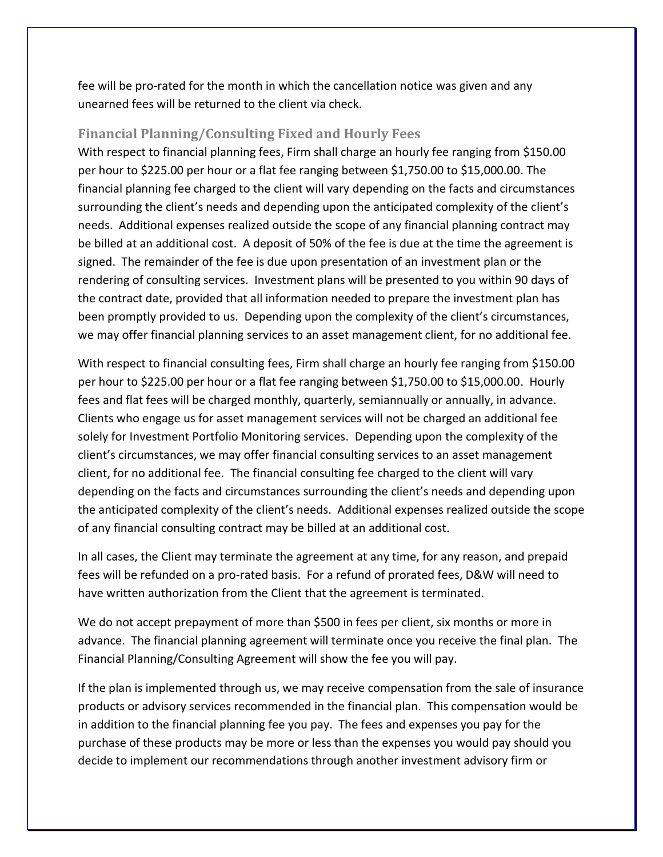fee will be pro-rated for the month in which the cancellation notice was given and any unearned fees will be returned to the client via check.

### <span id="page-14-0"></span>**Financial Planning/Consulting Fixed and Hourly Fees**

With respect to financial planning fees, Firm shall charge an hourly fee ranging from \$150.00 per hour to \$225.00 per hour or a flat fee ranging between \$1,750.00 to \$15,000.00. The financial planning fee charged to the client will vary depending on the facts and circumstances surrounding the client's needs and depending upon the anticipated complexity of the client's needs. Additional expenses realized outside the scope of any financial planning contract may be billed at an additional cost. A deposit of 50% of the fee is due at the time the agreement is signed. The remainder of the fee is due upon presentation of an investment plan or the rendering of consulting services. Investment plans will be presented to you within 90 days of the contract date, provided that all information needed to prepare the investment plan has been promptly provided to us. Depending upon the complexity of the client's circumstances, we may offer financial planning services to an asset management client, for no additional fee.

With respect to financial consulting fees, Firm shall charge an hourly fee ranging from \$150.00 per hour to \$225.00 per hour or a flat fee ranging between \$1,750.00 to \$15,000.00. Hourly fees and flat fees will be charged monthly, quarterly, semiannually or annually, in advance. Clients who engage us for asset management services will not be charged an additional fee solely for Investment Portfolio Monitoring services. Depending upon the complexity of the client's circumstances, we may offer financial consulting services to an asset management client, for no additional fee. The financial consulting fee charged to the client will vary depending on the facts and circumstances surrounding the client's needs and depending upon the anticipated complexity of the client's needs. Additional expenses realized outside the scope of any financial consulting contract may be billed at an additional cost.

In all cases, the Client may terminate the agreement at any time, for any reason, and prepaid fees will be refunded on a pro-rated basis. For a refund of prorated fees, D&W will need to have written authorization from the Client that the agreement is terminated.

We do not accept prepayment of more than \$500 in fees per client, six months or more in advance. The financial planning agreement will terminate once you receive the final plan. The Financial Planning/Consulting Agreement will show the fee you will pay.

If the plan is implemented through us, we may receive compensation from the sale of insurance products or advisory services recommended in the financial plan. This compensation would be in addition to the financial planning fee you pay. The fees and expenses you pay for the purchase of these products may be more or less than the expenses you would pay should you decide to implement our recommendations through another investment advisory firm or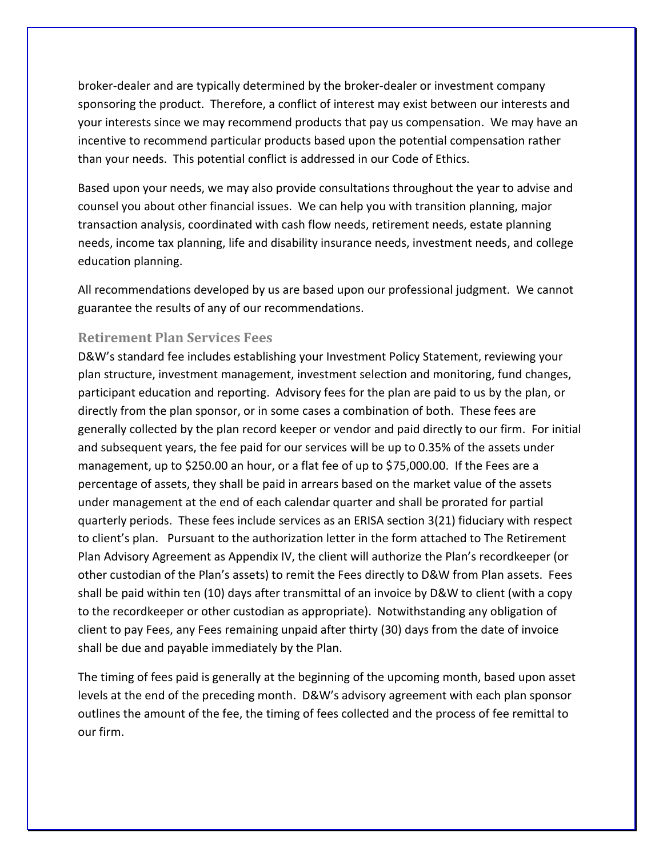broker-dealer and are typically determined by the broker-dealer or investment company sponsoring the product. Therefore, a conflict of interest may exist between our interests and your interests since we may recommend products that pay us compensation. We may have an incentive to recommend particular products based upon the potential compensation rather than your needs. This potential conflict is addressed in our Code of Ethics.

Based upon your needs, we may also provide consultations throughout the year to advise and counsel you about other financial issues. We can help you with transition planning, major transaction analysis, coordinated with cash flow needs, retirement needs, estate planning needs, income tax planning, life and disability insurance needs, investment needs, and college education planning.

All recommendations developed by us are based upon our professional judgment. We cannot guarantee the results of any of our recommendations.

#### <span id="page-15-0"></span>**Retirement Plan Services Fees**

D&W's standard fee includes establishing your Investment Policy Statement, reviewing your plan structure, investment management, investment selection and monitoring, fund changes, participant education and reporting. Advisory fees for the plan are paid to us by the plan, or directly from the plan sponsor, or in some cases a combination of both. These fees are generally collected by the plan record keeper or vendor and paid directly to our firm. For initial and subsequent years, the fee paid for our services will be up to 0.35% of the assets under management, up to \$250.00 an hour, or a flat fee of up to \$75,000.00. If the Fees are a percentage of assets, they shall be paid in arrears based on the market value of the assets under management at the end of each calendar quarter and shall be prorated for partial quarterly periods. These fees include services as an ERISA section 3(21) fiduciary with respect to client's plan. Pursuant to the authorization letter in the form attached to The Retirement Plan Advisory Agreement as Appendix IV, the client will authorize the Plan's recordkeeper (or other custodian of the Plan's assets) to remit the Fees directly to D&W from Plan assets. Fees shall be paid within ten (10) days after transmittal of an invoice by D&W to client (with a copy to the recordkeeper or other custodian as appropriate). Notwithstanding any obligation of client to pay Fees, any Fees remaining unpaid after thirty (30) days from the date of invoice shall be due and payable immediately by the Plan.

The timing of fees paid is generally at the beginning of the upcoming month, based upon asset levels at the end of the preceding month. D&W's advisory agreement with each plan sponsor outlines the amount of the fee, the timing of fees collected and the process of fee remittal to our firm.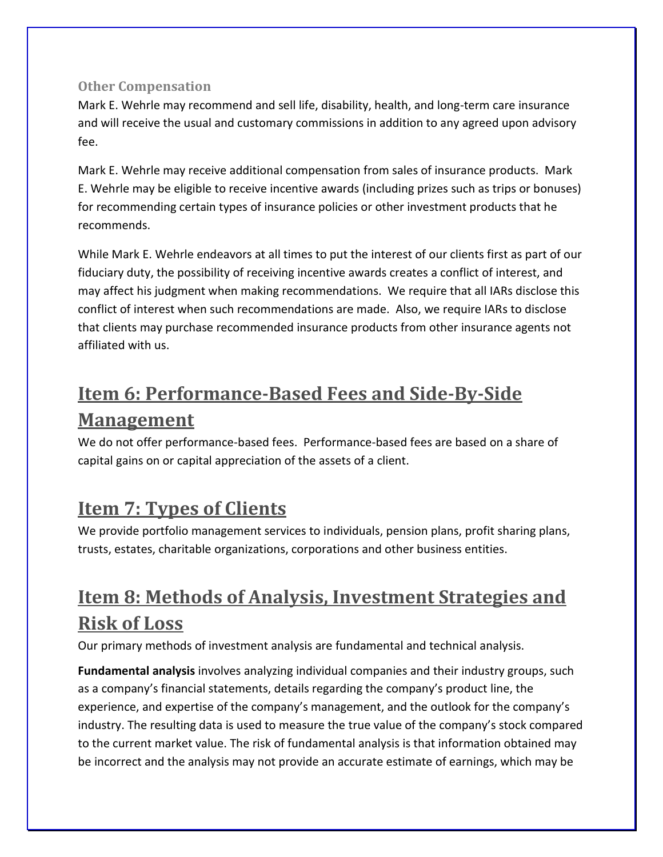### <span id="page-16-0"></span>**Other Compensation**

Mark E. Wehrle may recommend and sell life, disability, health, and long-term care insurance and will receive the usual and customary commissions in addition to any agreed upon advisory fee.

Mark E. Wehrle may receive additional compensation from sales of insurance products. Mark E. Wehrle may be eligible to receive incentive awards (including prizes such as trips or bonuses) for recommending certain types of insurance policies or other investment products that he recommends.

While Mark E. Wehrle endeavors at all times to put the interest of our clients first as part of our fiduciary duty, the possibility of receiving incentive awards creates a conflict of interest, and may affect his judgment when making recommendations. We require that all IARs disclose this conflict of interest when such recommendations are made. Also, we require IARs to disclose that clients may purchase recommended insurance products from other insurance agents not affiliated with us.

## <span id="page-16-1"></span>**Item 6: Performance-Based Fees and Side-By-Side Management**

We do not offer performance-based fees. Performance-based fees are based on a share of capital gains on or capital appreciation of the assets of a client.

## <span id="page-16-2"></span>**Item 7: Types of Clients**

We provide portfolio management services to individuals, pension plans, profit sharing plans, trusts, estates, charitable organizations, corporations and other business entities.

# <span id="page-16-3"></span>**Item 8: Methods of Analysis, Investment Strategies and Risk of Loss**

Our primary methods of investment analysis are fundamental and technical analysis.

**Fundamental analysis** involves analyzing individual companies and their industry groups, such as a company's financial statements, details regarding the company's product line, the experience, and expertise of the company's management, and the outlook for the company's industry. The resulting data is used to measure the true value of the company's stock compared to the current market value. The risk of fundamental analysis is that information obtained may be incorrect and the analysis may not provide an accurate estimate of earnings, which may be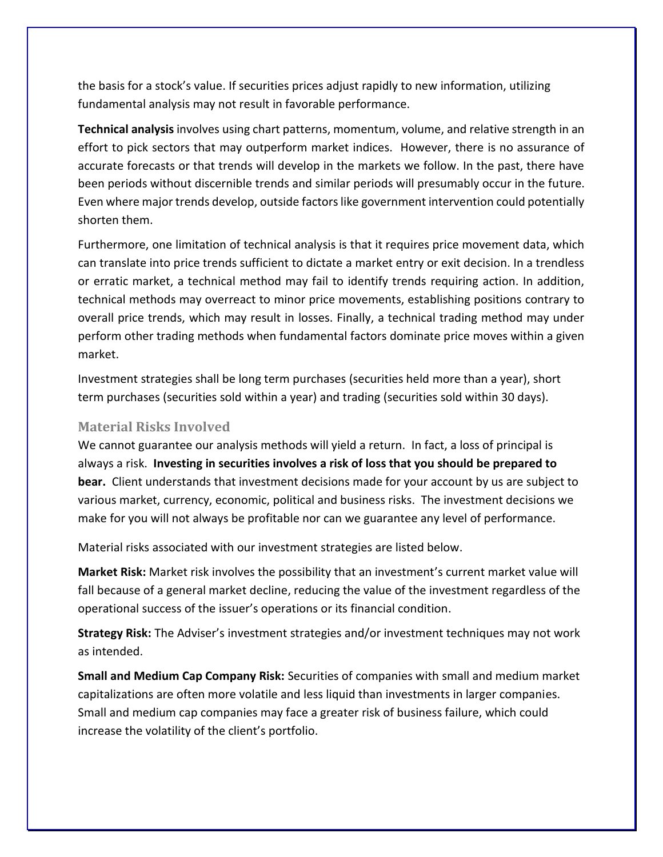the basis for a stock's value. If securities prices adjust rapidly to new information, utilizing fundamental analysis may not result in favorable performance.

**Technical analysis** involves using chart patterns, momentum, volume, and relative strength in an effort to pick sectors that may outperform market indices. However, there is no assurance of accurate forecasts or that trends will develop in the markets we follow. In the past, there have been periods without discernible trends and similar periods will presumably occur in the future. Even where major trends develop, outside factors like government intervention could potentially shorten them.

Furthermore, one limitation of technical analysis is that it requires price movement data, which can translate into price trends sufficient to dictate a market entry or exit decision. In a trendless or erratic market, a technical method may fail to identify trends requiring action. In addition, technical methods may overreact to minor price movements, establishing positions contrary to overall price trends, which may result in losses. Finally, a technical trading method may under perform other trading methods when fundamental factors dominate price moves within a given market.

Investment strategies shall be long term purchases (securities held more than a year), short term purchases (securities sold within a year) and trading (securities sold within 30 days).

#### <span id="page-17-0"></span>**Material Risks Involved**

We cannot guarantee our analysis methods will yield a return. In fact, a loss of principal is always a risk. **Investing in securities involves a risk of loss that you should be prepared to bear.** Client understands that investment decisions made for your account by us are subject to various market, currency, economic, political and business risks. The investment decisions we make for you will not always be profitable nor can we guarantee any level of performance.

Material risks associated with our investment strategies are listed below.

**Market Risk:** Market risk involves the possibility that an investment's current market value will fall because of a general market decline, reducing the value of the investment regardless of the operational success of the issuer's operations or its financial condition.

**Strategy Risk:** The Adviser's investment strategies and/or investment techniques may not work as intended.

**Small and Medium Cap Company Risk:** Securities of companies with small and medium market capitalizations are often more volatile and less liquid than investments in larger companies. Small and medium cap companies may face a greater risk of business failure, which could increase the volatility of the client's portfolio.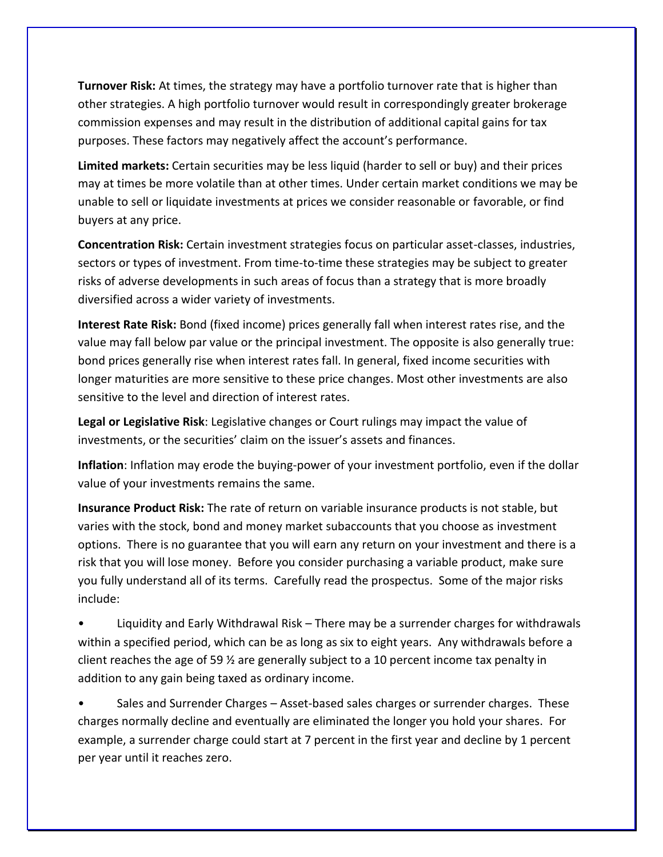**Turnover Risk:** At times, the strategy may have a portfolio turnover rate that is higher than other strategies. A high portfolio turnover would result in correspondingly greater brokerage commission expenses and may result in the distribution of additional capital gains for tax purposes. These factors may negatively affect the account's performance.

**Limited markets:** Certain securities may be less liquid (harder to sell or buy) and their prices may at times be more volatile than at other times. Under certain market conditions we may be unable to sell or liquidate investments at prices we consider reasonable or favorable, or find buyers at any price.

**Concentration Risk:** Certain investment strategies focus on particular asset-classes, industries, sectors or types of investment. From time-to-time these strategies may be subject to greater risks of adverse developments in such areas of focus than a strategy that is more broadly diversified across a wider variety of investments.

**Interest Rate Risk:** Bond (fixed income) prices generally fall when interest rates rise, and the value may fall below par value or the principal investment. The opposite is also generally true: bond prices generally rise when interest rates fall. In general, fixed income securities with longer maturities are more sensitive to these price changes. Most other investments are also sensitive to the level and direction of interest rates.

**Legal or Legislative Risk**: Legislative changes or Court rulings may impact the value of investments, or the securities' claim on the issuer's assets and finances.

**Inflation**: Inflation may erode the buying-power of your investment portfolio, even if the dollar value of your investments remains the same.

**Insurance Product Risk:** The rate of return on variable insurance products is not stable, but varies with the stock, bond and money market subaccounts that you choose as investment options. There is no guarantee that you will earn any return on your investment and there is a risk that you will lose money. Before you consider purchasing a variable product, make sure you fully understand all of its terms. Carefully read the prospectus. Some of the major risks include:

• Liquidity and Early Withdrawal Risk – There may be a surrender charges for withdrawals within a specified period, which can be as long as six to eight years. Any withdrawals before a client reaches the age of 59 ½ are generally subject to a 10 percent income tax penalty in addition to any gain being taxed as ordinary income.

Sales and Surrender Charges – Asset-based sales charges or surrender charges. These charges normally decline and eventually are eliminated the longer you hold your shares. For example, a surrender charge could start at 7 percent in the first year and decline by 1 percent per year until it reaches zero.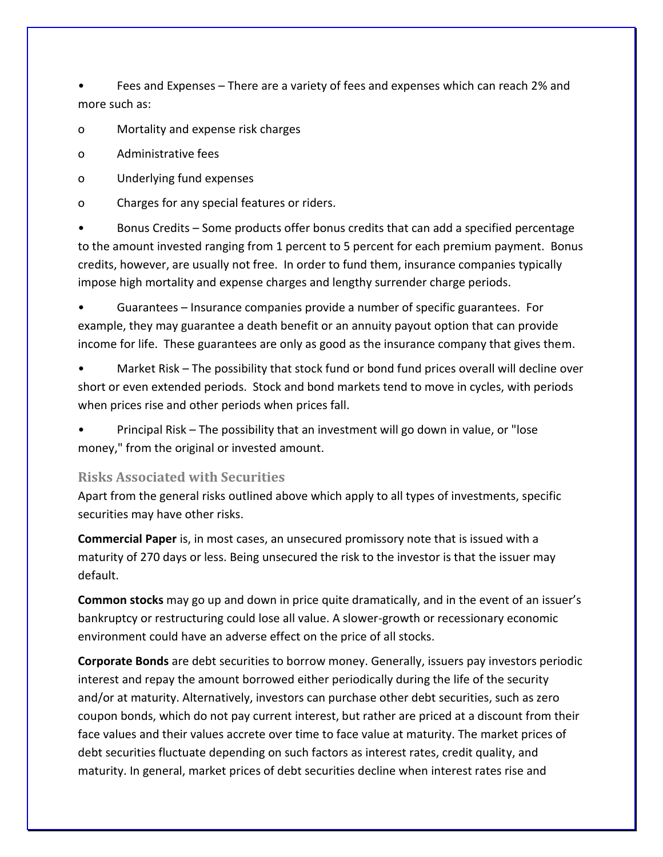• Fees and Expenses – There are a variety of fees and expenses which can reach 2% and more such as:

o Mortality and expense risk charges

o Administrative fees

- o Underlying fund expenses
- o Charges for any special features or riders.

• Bonus Credits – Some products offer bonus credits that can add a specified percentage to the amount invested ranging from 1 percent to 5 percent for each premium payment. Bonus credits, however, are usually not free. In order to fund them, insurance companies typically impose high mortality and expense charges and lengthy surrender charge periods.

• Guarantees – Insurance companies provide a number of specific guarantees. For example, they may guarantee a death benefit or an annuity payout option that can provide income for life. These guarantees are only as good as the insurance company that gives them.

Market Risk – The possibility that stock fund or bond fund prices overall will decline over short or even extended periods. Stock and bond markets tend to move in cycles, with periods when prices rise and other periods when prices fall.

• Principal Risk – The possibility that an investment will go down in value, or "lose money," from the original or invested amount.

### <span id="page-19-0"></span>**Risks Associated with Securities**

Apart from the general risks outlined above which apply to all types of investments, specific securities may have other risks.

**Commercial Paper** is, in most cases, an unsecured promissory note that is issued with a maturity of 270 days or less. Being unsecured the risk to the investor is that the issuer may default.

**Common stocks** may go up and down in price quite dramatically, and in the event of an issuer's bankruptcy or restructuring could lose all value. A slower-growth or recessionary economic environment could have an adverse effect on the price of all stocks.

**Corporate Bonds** are debt securities to borrow money. Generally, issuers pay investors periodic interest and repay the amount borrowed either periodically during the life of the security and/or at maturity. Alternatively, investors can purchase other debt securities, such as zero coupon bonds, which do not pay current interest, but rather are priced at a discount from their face values and their values accrete over time to face value at maturity. The market prices of debt securities fluctuate depending on such factors as interest rates, credit quality, and maturity. In general, market prices of debt securities decline when interest rates rise and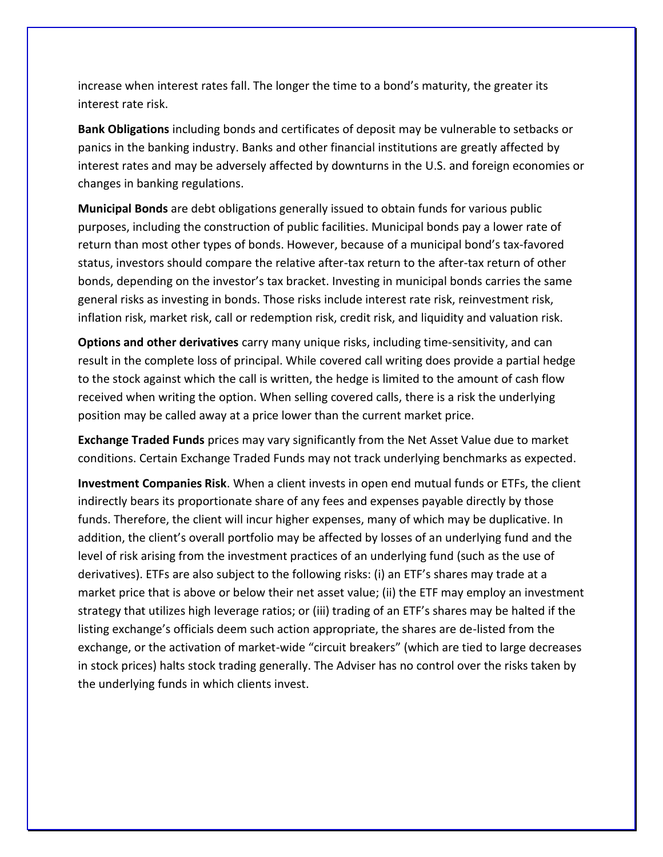increase when interest rates fall. The longer the time to a bond's maturity, the greater its interest rate risk.

**Bank Obligations** including bonds and certificates of deposit may be vulnerable to setbacks or panics in the banking industry. Banks and other financial institutions are greatly affected by interest rates and may be adversely affected by downturns in the U.S. and foreign economies or changes in banking regulations.

**Municipal Bonds** are debt obligations generally issued to obtain funds for various public purposes, including the construction of public facilities. Municipal bonds pay a lower rate of return than most other types of bonds. However, because of a municipal bond's tax-favored status, investors should compare the relative after-tax return to the after-tax return of other bonds, depending on the investor's tax bracket. Investing in municipal bonds carries the same general risks as investing in bonds. Those risks include interest rate risk, reinvestment risk, inflation risk, market risk, call or redemption risk, credit risk, and liquidity and valuation risk.

**Options and other derivatives** carry many unique risks, including time-sensitivity, and can result in the complete loss of principal. While covered call writing does provide a partial hedge to the stock against which the call is written, the hedge is limited to the amount of cash flow received when writing the option. When selling covered calls, there is a risk the underlying position may be called away at a price lower than the current market price.

**Exchange Traded Funds** prices may vary significantly from the Net Asset Value due to market conditions. Certain Exchange Traded Funds may not track underlying benchmarks as expected.

**Investment Companies Risk**. When a client invests in open end mutual funds or ETFs, the client indirectly bears its proportionate share of any fees and expenses payable directly by those funds. Therefore, the client will incur higher expenses, many of which may be duplicative. In addition, the client's overall portfolio may be affected by losses of an underlying fund and the level of risk arising from the investment practices of an underlying fund (such as the use of derivatives). ETFs are also subject to the following risks: (i) an ETF's shares may trade at a market price that is above or below their net asset value; (ii) the ETF may employ an investment strategy that utilizes high leverage ratios; or (iii) trading of an ETF's shares may be halted if the listing exchange's officials deem such action appropriate, the shares are de-listed from the exchange, or the activation of market-wide "circuit breakers" (which are tied to large decreases in stock prices) halts stock trading generally. The Adviser has no control over the risks taken by the underlying funds in which clients invest.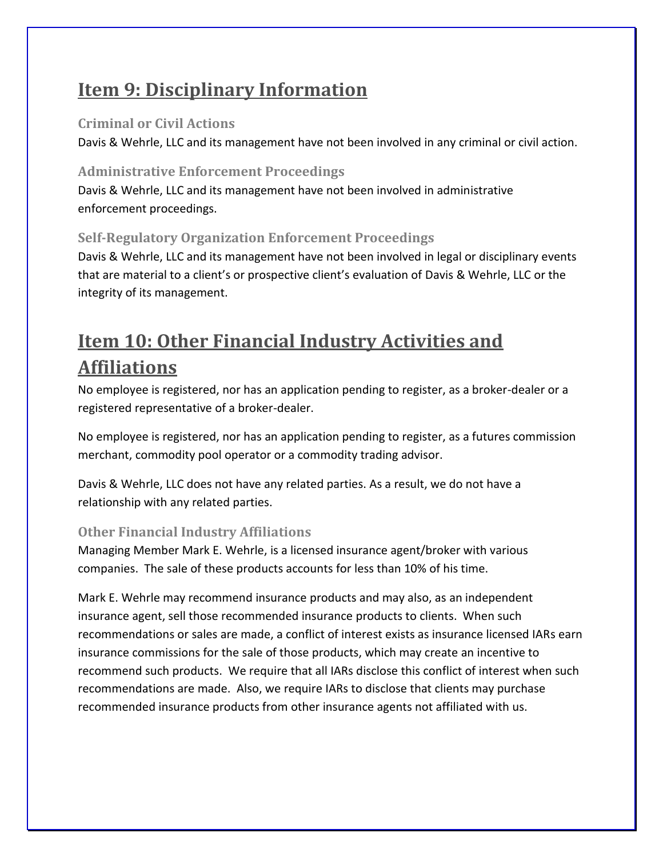# <span id="page-21-0"></span>**Item 9: Disciplinary Information**

### <span id="page-21-1"></span>**Criminal or Civil Actions**

Davis & Wehrle, LLC and its management have not been involved in any criminal or civil action.

### <span id="page-21-2"></span>**Administrative Enforcement Proceedings**

Davis & Wehrle, LLC and its management have not been involved in administrative enforcement proceedings.

### <span id="page-21-3"></span>**Self-Regulatory Organization Enforcement Proceedings**

Davis & Wehrle, LLC and its management have not been involved in legal or disciplinary events that are material to a client's or prospective client's evaluation of Davis & Wehrle, LLC or the integrity of its management.

# <span id="page-21-4"></span>**Item 10: Other Financial Industry Activities and Affiliations**

No employee is registered, nor has an application pending to register, as a broker-dealer or a registered representative of a broker-dealer.

No employee is registered, nor has an application pending to register, as a futures commission merchant, commodity pool operator or a commodity trading advisor.

Davis & Wehrle, LLC does not have any related parties. As a result, we do not have a relationship with any related parties.

## <span id="page-21-5"></span>**Other Financial Industry Affiliations**

Managing Member Mark E. Wehrle, is a licensed insurance agent/broker with various companies. The sale of these products accounts for less than 10% of his time.

Mark E. Wehrle may recommend insurance products and may also, as an independent insurance agent, sell those recommended insurance products to clients. When such recommendations or sales are made, a conflict of interest exists as insurance licensed IARs earn insurance commissions for the sale of those products, which may create an incentive to recommend such products. We require that all IARs disclose this conflict of interest when such recommendations are made. Also, we require IARs to disclose that clients may purchase recommended insurance products from other insurance agents not affiliated with us.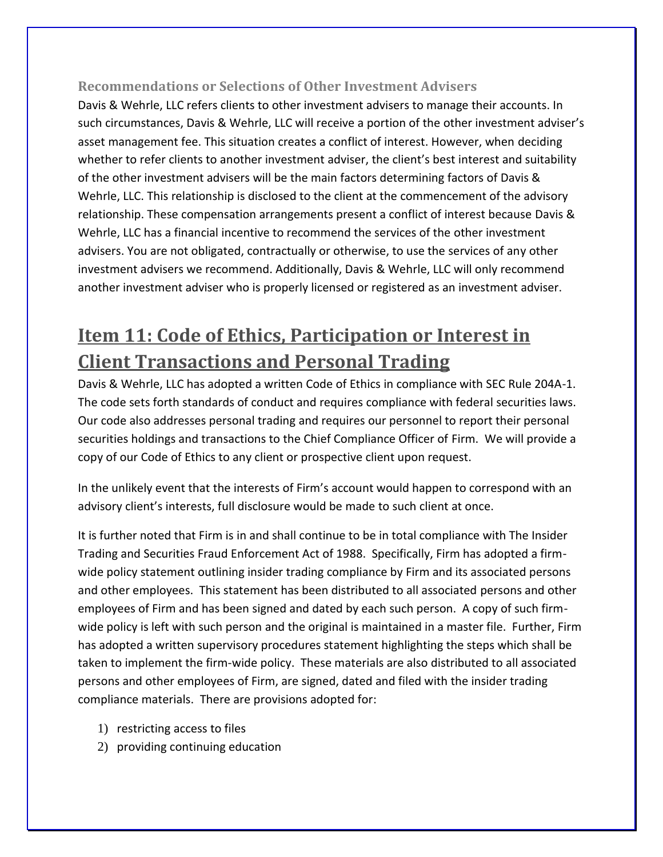### <span id="page-22-0"></span>**Recommendations or Selections of Other Investment Advisers**

Davis & Wehrle, LLC refers clients to other investment advisers to manage their accounts. In such circumstances, Davis & Wehrle, LLC will receive a portion of the other investment adviser's asset management fee. This situation creates a conflict of interest. However, when deciding whether to refer clients to another investment adviser, the client's best interest and suitability of the other investment advisers will be the main factors determining factors of Davis & Wehrle, LLC. This relationship is disclosed to the client at the commencement of the advisory relationship. These compensation arrangements present a conflict of interest because Davis & Wehrle, LLC has a financial incentive to recommend the services of the other investment advisers. You are not obligated, contractually or otherwise, to use the services of any other investment advisers we recommend. Additionally, Davis & Wehrle, LLC will only recommend another investment adviser who is properly licensed or registered as an investment adviser.

# <span id="page-22-1"></span>**Item 11: Code of Ethics, Participation or Interest in Client Transactions and Personal Trading**

Davis & Wehrle, LLC has adopted a written Code of Ethics in compliance with SEC Rule 204A-1. The code sets forth standards of conduct and requires compliance with federal securities laws. Our code also addresses personal trading and requires our personnel to report their personal securities holdings and transactions to the Chief Compliance Officer of Firm. We will provide a copy of our Code of Ethics to any client or prospective client upon request.

In the unlikely event that the interests of Firm's account would happen to correspond with an advisory client's interests, full disclosure would be made to such client at once.

It is further noted that Firm is in and shall continue to be in total compliance with The Insider Trading and Securities Fraud Enforcement Act of 1988. Specifically, Firm has adopted a firmwide policy statement outlining insider trading compliance by Firm and its associated persons and other employees. This statement has been distributed to all associated persons and other employees of Firm and has been signed and dated by each such person. A copy of such firmwide policy is left with such person and the original is maintained in a master file. Further, Firm has adopted a written supervisory procedures statement highlighting the steps which shall be taken to implement the firm-wide policy. These materials are also distributed to all associated persons and other employees of Firm, are signed, dated and filed with the insider trading compliance materials. There are provisions adopted for:

- 1) restricting access to files
- 2) providing continuing education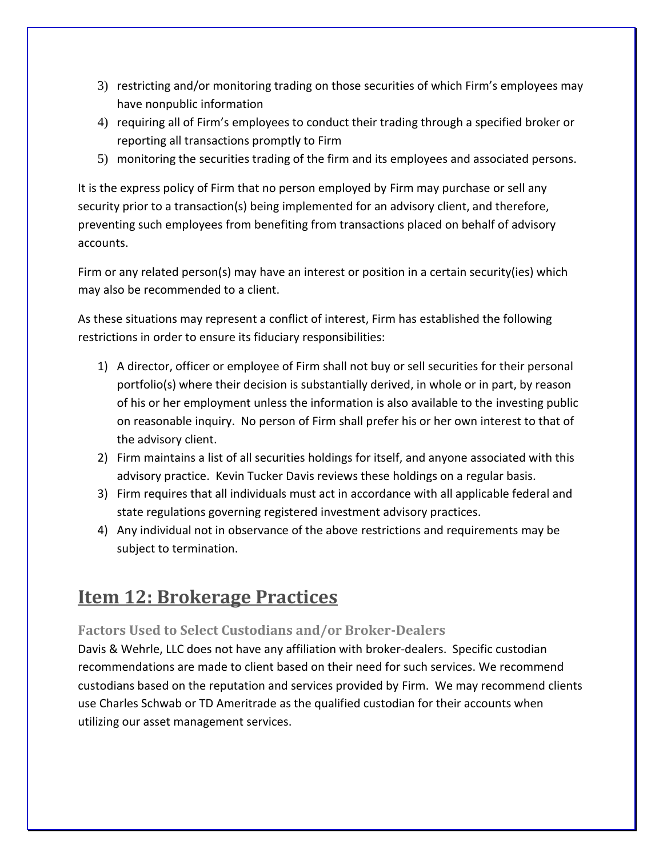- 3) restricting and/or monitoring trading on those securities of which Firm's employees may have nonpublic information
- 4) requiring all of Firm's employees to conduct their trading through a specified broker or reporting all transactions promptly to Firm
- 5) monitoring the securities trading of the firm and its employees and associated persons.

It is the express policy of Firm that no person employed by Firm may purchase or sell any security prior to a transaction(s) being implemented for an advisory client, and therefore, preventing such employees from benefiting from transactions placed on behalf of advisory accounts.

Firm or any related person(s) may have an interest or position in a certain security(ies) which may also be recommended to a client.

As these situations may represent a conflict of interest, Firm has established the following restrictions in order to ensure its fiduciary responsibilities:

- 1) A director, officer or employee of Firm shall not buy or sell securities for their personal portfolio(s) where their decision is substantially derived, in whole or in part, by reason of his or her employment unless the information is also available to the investing public on reasonable inquiry. No person of Firm shall prefer his or her own interest to that of the advisory client.
- 2) Firm maintains a list of all securities holdings for itself, and anyone associated with this advisory practice. Kevin Tucker Davis reviews these holdings on a regular basis.
- 3) Firm requires that all individuals must act in accordance with all applicable federal and state regulations governing registered investment advisory practices.
- 4) Any individual not in observance of the above restrictions and requirements may be subject to termination.

## <span id="page-23-0"></span>**Item 12: Brokerage Practices**

### <span id="page-23-1"></span>**Factors Used to Select Custodians and/or Broker-Dealers**

Davis & Wehrle, LLC does not have any affiliation with broker-dealers. Specific custodian recommendations are made to client based on their need for such services. We recommend custodians based on the reputation and services provided by Firm. We may recommend clients use Charles Schwab or TD Ameritrade as the qualified custodian for their accounts when utilizing our asset management services.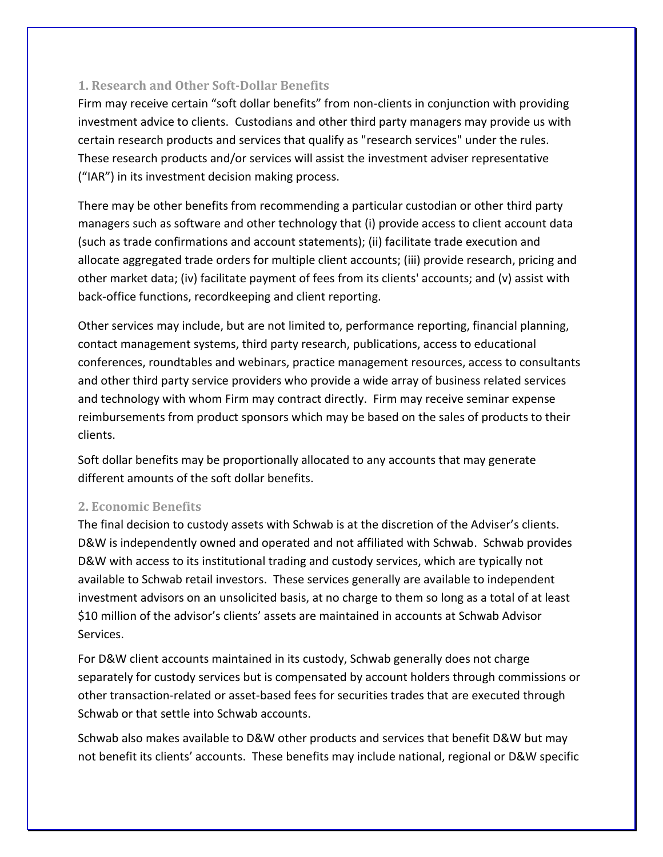### <span id="page-24-0"></span>**1. Research and Other Soft-Dollar Benefits**

Firm may receive certain "soft dollar benefits" from non-clients in conjunction with providing investment advice to clients. Custodians and other third party managers may provide us with certain research products and services that qualify as "research services" under the rules. These research products and/or services will assist the investment adviser representative ("IAR") in its investment decision making process.

There may be other benefits from recommending a particular custodian or other third party managers such as software and other technology that (i) provide access to client account data (such as trade confirmations and account statements); (ii) facilitate trade execution and allocate aggregated trade orders for multiple client accounts; (iii) provide research, pricing and other market data; (iv) facilitate payment of fees from its clients' accounts; and (v) assist with back-office functions, recordkeeping and client reporting.

Other services may include, but are not limited to, performance reporting, financial planning, contact management systems, third party research, publications, access to educational conferences, roundtables and webinars, practice management resources, access to consultants and other third party service providers who provide a wide array of business related services and technology with whom Firm may contract directly. Firm may receive seminar expense reimbursements from product sponsors which may be based on the sales of products to their clients.

Soft dollar benefits may be proportionally allocated to any accounts that may generate different amounts of the soft dollar benefits.

### <span id="page-24-1"></span>**2. Economic Benefits**

The final decision to custody assets with Schwab is at the discretion of the Adviser's clients. D&W is independently owned and operated and not affiliated with Schwab. Schwab provides D&W with access to its institutional trading and custody services, which are typically not available to Schwab retail investors. These services generally are available to independent investment advisors on an unsolicited basis, at no charge to them so long as a total of at least \$10 million of the advisor's clients' assets are maintained in accounts at Schwab Advisor Services.

For D&W client accounts maintained in its custody, Schwab generally does not charge separately for custody services but is compensated by account holders through commissions or other transaction-related or asset-based fees for securities trades that are executed through Schwab or that settle into Schwab accounts.

Schwab also makes available to D&W other products and services that benefit D&W but may not benefit its clients' accounts. These benefits may include national, regional or D&W specific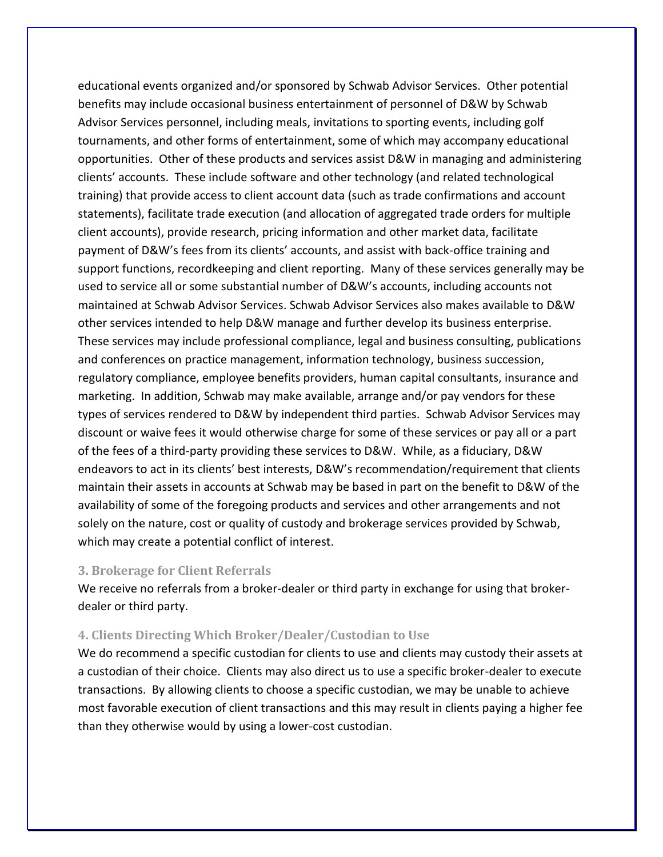educational events organized and/or sponsored by Schwab Advisor Services. Other potential benefits may include occasional business entertainment of personnel of D&W by Schwab Advisor Services personnel, including meals, invitations to sporting events, including golf tournaments, and other forms of entertainment, some of which may accompany educational opportunities. Other of these products and services assist D&W in managing and administering clients' accounts. These include software and other technology (and related technological training) that provide access to client account data (such as trade confirmations and account statements), facilitate trade execution (and allocation of aggregated trade orders for multiple client accounts), provide research, pricing information and other market data, facilitate payment of D&W's fees from its clients' accounts, and assist with back-office training and support functions, recordkeeping and client reporting. Many of these services generally may be used to service all or some substantial number of D&W's accounts, including accounts not maintained at Schwab Advisor Services. Schwab Advisor Services also makes available to D&W other services intended to help D&W manage and further develop its business enterprise. These services may include professional compliance, legal and business consulting, publications and conferences on practice management, information technology, business succession, regulatory compliance, employee benefits providers, human capital consultants, insurance and marketing. In addition, Schwab may make available, arrange and/or pay vendors for these types of services rendered to D&W by independent third parties. Schwab Advisor Services may discount or waive fees it would otherwise charge for some of these services or pay all or a part of the fees of a third-party providing these services to D&W. While, as a fiduciary, D&W endeavors to act in its clients' best interests, D&W's recommendation/requirement that clients maintain their assets in accounts at Schwab may be based in part on the benefit to D&W of the availability of some of the foregoing products and services and other arrangements and not solely on the nature, cost or quality of custody and brokerage services provided by Schwab, which may create a potential conflict of interest.

#### <span id="page-25-0"></span>**3. Brokerage for Client Referrals**

We receive no referrals from a broker-dealer or third party in exchange for using that brokerdealer or third party.

#### <span id="page-25-1"></span>**4. Clients Directing Which Broker/Dealer/Custodian to Use**

We do recommend a specific custodian for clients to use and clients may custody their assets at a custodian of their choice. Clients may also direct us to use a specific broker-dealer to execute transactions. By allowing clients to choose a specific custodian, we may be unable to achieve most favorable execution of client transactions and this may result in clients paying a higher fee than they otherwise would by using a lower-cost custodian.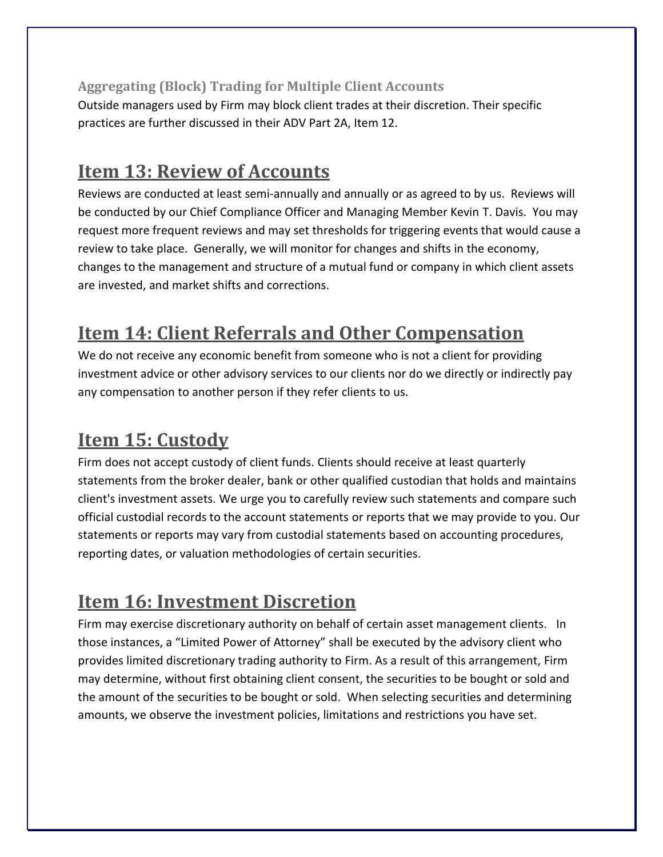<span id="page-26-0"></span>**Aggregating (Block) Trading for Multiple Client Accounts** Outside managers used by Firm may block client trades at their discretion. Their specific practices are further discussed in their ADV Part 2A, Item 12.

## <span id="page-26-1"></span>**Item 13: Review of Accounts**

Reviews are conducted at least semi-annually and annually or as agreed to by us. Reviews will be conducted by our Chief Compliance Officer and Managing Member Kevin T. Davis. You may request more frequent reviews and may set thresholds for triggering events that would cause a review to take place. Generally, we will monitor for changes and shifts in the economy, changes to the management and structure of a mutual fund or company in which client assets are invested, and market shifts and corrections.

## <span id="page-26-2"></span>**Item 14: Client Referrals and Other Compensation**

We do not receive any economic benefit from someone who is not a client for providing investment advice or other advisory services to our clients nor do we directly or indirectly pay any compensation to another person if they refer clients to us.

## <span id="page-26-3"></span>**Item 15: Custody**

Firm does not accept custody of client funds. Clients should receive at least quarterly statements from the broker dealer, bank or other qualified custodian that holds and maintains client's investment assets. We urge you to carefully review such statements and compare such official custodial records to the account statements or reports that we may provide to you. Our statements or reports may vary from custodial statements based on accounting procedures, reporting dates, or valuation methodologies of certain securities.

## <span id="page-26-4"></span>**Item 16: Investment Discretion**

Firm may exercise discretionary authority on behalf of certain asset management clients. In those instances, a "Limited Power of Attorney" shall be executed by the advisory client who provides limited discretionary trading authority to Firm. As a result of this arrangement, Firm may determine, without first obtaining client consent, the securities to be bought or sold and the amount of the securities to be bought or sold. When selecting securities and determining amounts, we observe the investment policies, limitations and restrictions you have set.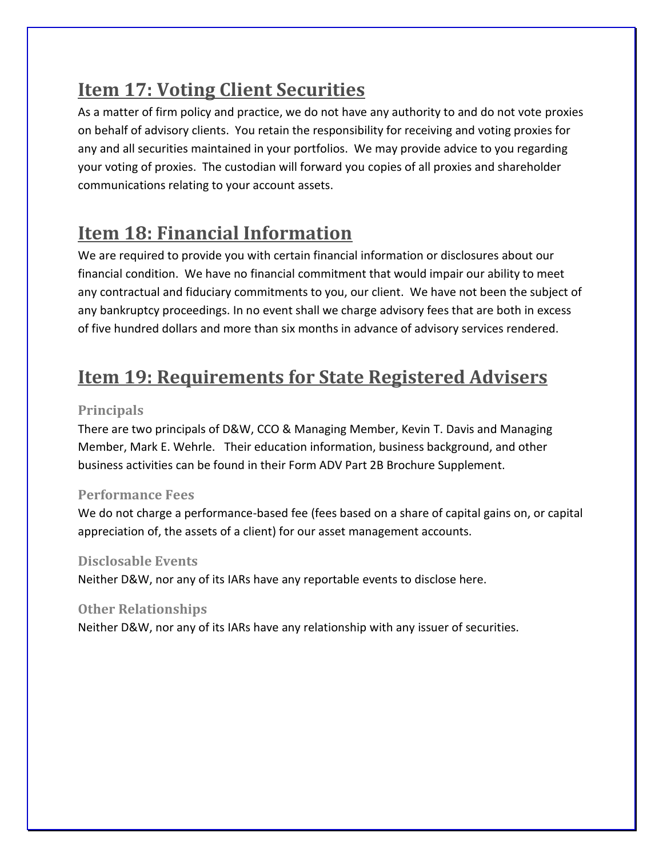# <span id="page-27-0"></span>**Item 17: Voting Client Securities**

As a matter of firm policy and practice, we do not have any authority to and do not vote proxies on behalf of advisory clients. You retain the responsibility for receiving and voting proxies for any and all securities maintained in your portfolios. We may provide advice to you regarding your voting of proxies. The custodian will forward you copies of all proxies and shareholder communications relating to your account assets.

## <span id="page-27-1"></span>**Item 18: Financial Information**

We are required to provide you with certain financial information or disclosures about our financial condition. We have no financial commitment that would impair our ability to meet any contractual and fiduciary commitments to you, our client. We have not been the subject of any bankruptcy proceedings. In no event shall we charge advisory fees that are both in excess of five hundred dollars and more than six months in advance of advisory services rendered.

# <span id="page-27-2"></span>**Item 19: Requirements for State Registered Advisers**

### <span id="page-27-3"></span>**Principals**

There are two principals of D&W, CCO & Managing Member, Kevin T. Davis and Managing Member, Mark E. Wehrle. Their education information, business background, and other business activities can be found in their Form ADV Part 2B Brochure Supplement.

### <span id="page-27-4"></span>**Performance Fees**

We do not charge a performance-based fee (fees based on a share of capital gains on, or capital appreciation of, the assets of a client) for our asset management accounts.

### <span id="page-27-5"></span>**Disclosable Events**

Neither D&W, nor any of its IARs have any reportable events to disclose here.

### <span id="page-27-6"></span>**Other Relationships**

Neither D&W, nor any of its IARs have any relationship with any issuer of securities.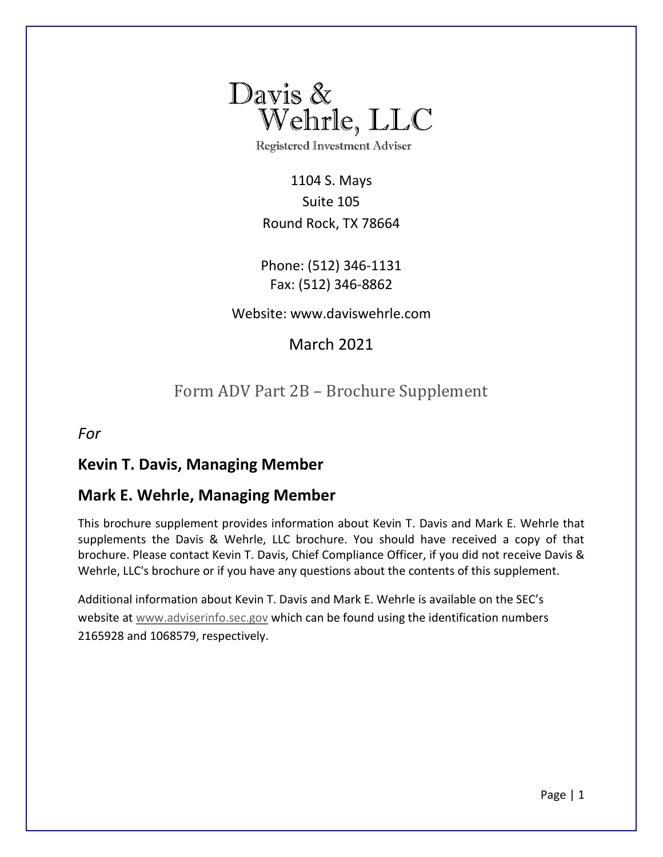

**Registered Investment Adviser** 

1104 S. Mays Suite 105 Round Rock, TX 78664

Phone: (512) 346-1131 Fax: (512) 346-8862

Website: www.daviswehrle.com

March 2021

## Form ADV Part 2B – Brochure Supplement

*For*

### **Kevin T. Davis, Managing Member**

### **Mark E. Wehrle, Managing Member**

This brochure supplement provides information about Kevin T. Davis and Mark E. Wehrle that supplements the Davis & Wehrle, LLC brochure. You should have received a copy of that brochure. Please contact Kevin T. Davis, Chief Compliance Officer, if you did not receive Davis & Wehrle, LLC's brochure or if you have any questions about the contents of this supplement.

Additional information about Kevin T. Davis and Mark E. Wehrle is available on the SEC's website at [www.adviserinfo.sec.gov](http://www.adviserinfo.sec.gov/) which can be found using the identification numbers 2165928 and 1068579, respectively.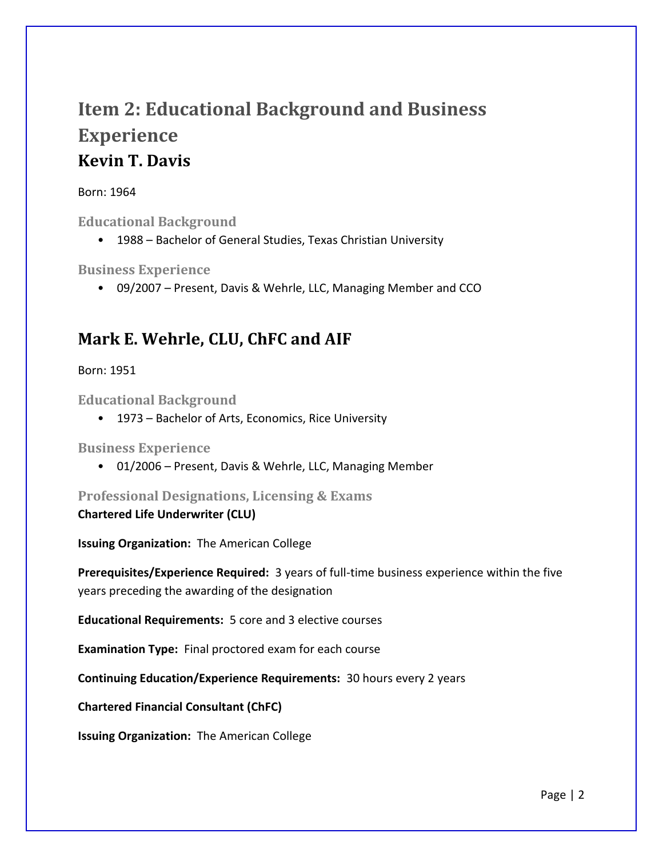# **Item 2: Educational Background and Business Experience Kevin T. Davis**

#### Born: 1964

**Educational Background**

• 1988 – Bachelor of General Studies, Texas Christian University

**Business Experience** 

• 09/2007 – Present, Davis & Wehrle, LLC, Managing Member and CCO

## **Mark E. Wehrle, CLU, ChFC and AIF**

Born: 1951

**Educational Background**

• 1973 – Bachelor of Arts, Economics, Rice University

**Business Experience** 

• 01/2006 – Present, Davis & Wehrle, LLC, Managing Member

**Professional Designations, Licensing & Exams** 

**Chartered Life Underwriter (CLU)**

**Issuing Organization:** The American College

**Prerequisites/Experience Required:** 3 years of full-time business experience within the five years preceding the awarding of the designation

**Educational Requirements:** 5 core and 3 elective courses

**Examination Type:** Final proctored exam for each course

**Continuing Education/Experience Requirements:** 30 hours every 2 years

**Chartered Financial Consultant (ChFC)**

**Issuing Organization:** The American College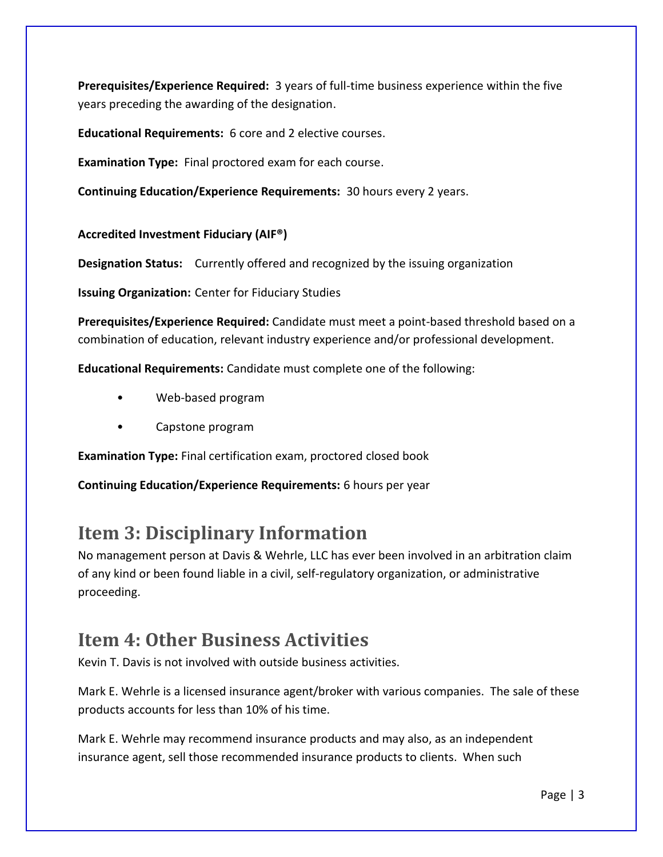**Prerequisites/Experience Required:** 3 years of full-time business experience within the five years preceding the awarding of the designation.

**Educational Requirements:** 6 core and 2 elective courses.

**Examination Type:** Final proctored exam for each course.

**Continuing Education/Experience Requirements:** 30 hours every 2 years.

### **Accredited Investment Fiduciary (AIF®)**

**Designation Status:** Currently offered and recognized by the issuing organization

**Issuing Organization:** Center for Fiduciary Studies

**Prerequisites/Experience Required:** Candidate must meet a point-based threshold based on a combination of education, relevant industry experience and/or professional development.

**Educational Requirements:** Candidate must complete one of the following:

- Web-based program
- Capstone program

**Examination Type:** Final certification exam, proctored closed book

**Continuing Education/Experience Requirements:** 6 hours per year

## **Item 3: Disciplinary Information**

No management person at Davis & Wehrle, LLC has ever been involved in an arbitration claim of any kind or been found liable in a civil, self-regulatory organization, or administrative proceeding.

## **Item 4: Other Business Activities**

Kevin T. Davis is not involved with outside business activities.

Mark E. Wehrle is a licensed insurance agent/broker with various companies. The sale of these products accounts for less than 10% of his time.

Mark E. Wehrle may recommend insurance products and may also, as an independent insurance agent, sell those recommended insurance products to clients. When such